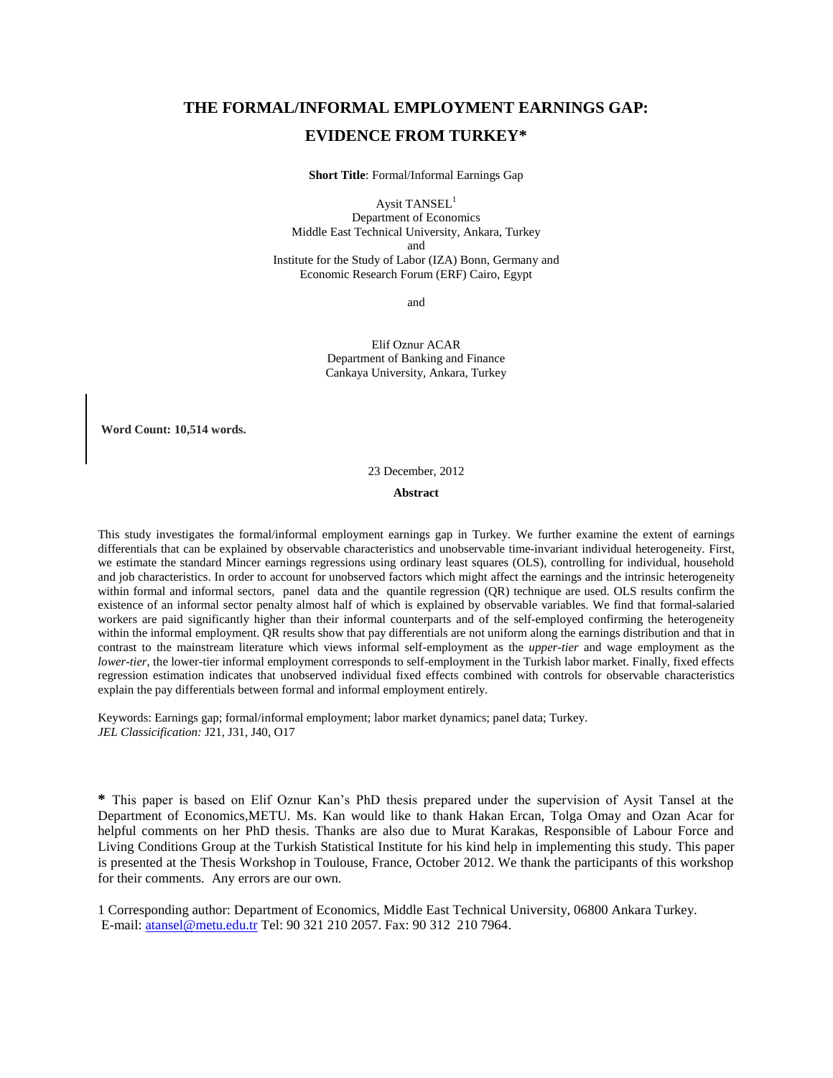## **THE FORMAL/INFORMAL EMPLOYMENT EARNINGS GAP: EVIDENCE FROM TURKEY\***

**Short Title**: Formal/Informal Earnings Gap

Aysit TANSEL<sup>1</sup> Department of Economics Middle East Technical University, Ankara, Turkey and Institute for the Study of Labor (IZA) Bonn, Germany and Economic Research Forum (ERF) Cairo, Egypt

and

Elif Oznur ACAR Department of Banking and Finance Cankaya University, Ankara, Turkey

**Word Count: 10,514 words.**

23 December, 2012

#### **Abstract**

This study investigates the formal/informal employment earnings gap in Turkey. We further examine the extent of earnings differentials that can be explained by observable characteristics and unobservable time-invariant individual heterogeneity. First, we estimate the standard Mincer earnings regressions using ordinary least squares (OLS), controlling for individual, household and job characteristics. In order to account for unobserved factors which might affect the earnings and the intrinsic heterogeneity within formal and informal sectors, panel data and the quantile regression (QR) technique are used. OLS results confirm the existence of an informal sector penalty almost half of which is explained by observable variables. We find that formal-salaried workers are paid significantly higher than their informal counterparts and of the self-employed confirming the heterogeneity within the informal employment. QR results show that pay differentials are not uniform along the earnings distribution and that in contrast to the mainstream literature which views informal self-employment as the *upper-tier* and wage employment as the *lower-tier*, the lower-tier informal employment corresponds to self-employment in the Turkish labor market. Finally, fixed effects regression estimation indicates that unobserved individual fixed effects combined with controls for observable characteristics explain the pay differentials between formal and informal employment entirely.

Keywords: Earnings gap; formal/informal employment; labor market dynamics; panel data; Turkey. *JEL Classicification:* J21, J31, J40, O17

**\*** This paper is based on Elif Oznur Kan's PhD thesis prepared under the supervision of Aysit Tansel at the Department of Economics,METU. Ms. Kan would like to thank Hakan Ercan, Tolga Omay and Ozan Acar for helpful comments on her PhD thesis. Thanks are also due to Murat Karakas, Responsible of Labour Force and Living Conditions Group at the Turkish Statistical Institute for his kind help in implementing this study. This paper is presented at the Thesis Workshop in Toulouse, France, October 2012. We thank the participants of this workshop for their comments. Any errors are our own.

1 Corresponding author: Department of Economics, Middle East Technical University, 06800 Ankara Turkey. E-mail: [atansel@metu.edu.tr](mailto:atansel@metu.edu.tr) Tel: 90 321 210 2057. Fax: 90 312 210 7964.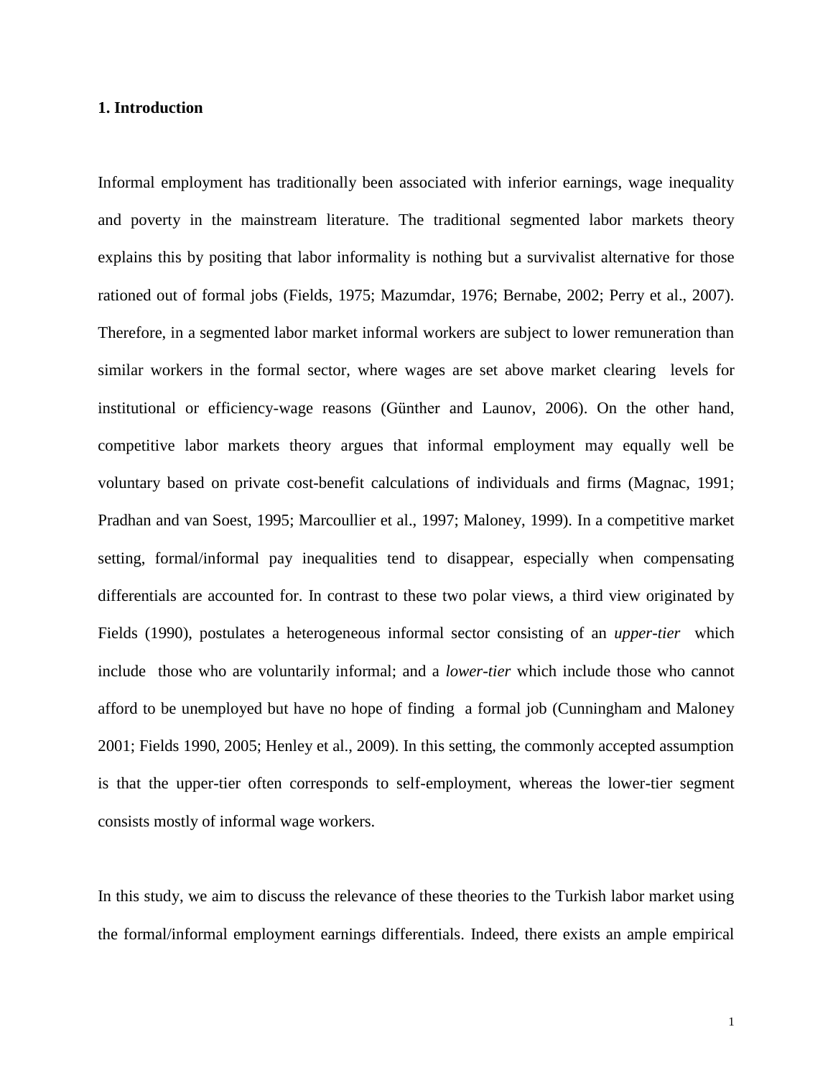#### **1. Introduction**

Informal employment has traditionally been associated with inferior earnings, wage inequality and poverty in the mainstream literature. The traditional segmented labor markets theory explains this by positing that labor informality is nothing but a survivalist alternative for those rationed out of formal jobs (Fields, 1975; Mazumdar, 1976; Bernabe, 2002; Perry et al., 2007). Therefore, in a segmented labor market informal workers are subject to lower remuneration than similar workers in the formal sector, where wages are set above market clearing levels for institutional or efficiency-wage reasons (Günther and Launov, 2006). On the other hand, competitive labor markets theory argues that informal employment may equally well be voluntary based on private cost-benefit calculations of individuals and firms (Magnac, 1991; Pradhan and van Soest, 1995; Marcoullier et al., 1997; Maloney, 1999). In a competitive market setting, formal/informal pay inequalities tend to disappear, especially when compensating differentials are accounted for. In contrast to these two polar views, a third view originated by Fields (1990), postulates a heterogeneous informal sector consisting of an *upper-tier* which include those who are voluntarily informal; and a *lower-tier* which include those who cannot afford to be unemployed but have no hope of finding a formal job (Cunningham and Maloney 2001; Fields 1990, 2005; Henley et al., 2009). In this setting, the commonly accepted assumption is that the upper-tier often corresponds to self-employment, whereas the lower-tier segment consists mostly of informal wage workers.

In this study, we aim to discuss the relevance of these theories to the Turkish labor market using the formal/informal employment earnings differentials. Indeed, there exists an ample empirical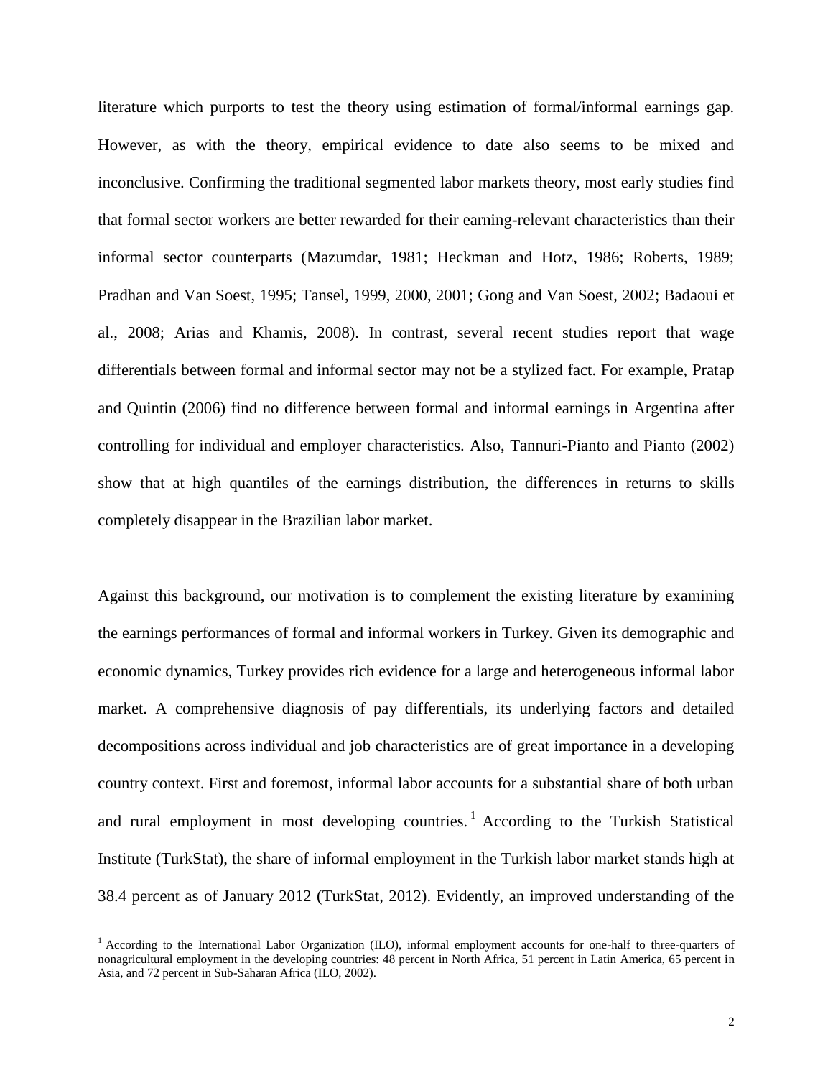literature which purports to test the theory using estimation of formal/informal earnings gap. However, as with the theory, empirical evidence to date also seems to be mixed and inconclusive. Confirming the traditional segmented labor markets theory, most early studies find that formal sector workers are better rewarded for their earning-relevant characteristics than their informal sector counterparts (Mazumdar, 1981; Heckman and Hotz, 1986; Roberts, 1989; Pradhan and Van Soest, 1995; Tansel, 1999, 2000, 2001; Gong and Van Soest, 2002; Badaoui et al., 2008; Arias and Khamis, 2008). In contrast, several recent studies report that wage differentials between formal and informal sector may not be a stylized fact. For example, Pratap and Quintin (2006) find no difference between formal and informal earnings in Argentina after controlling for individual and employer characteristics. Also, Tannuri-Pianto and Pianto (2002) show that at high quantiles of the earnings distribution, the differences in returns to skills completely disappear in the Brazilian labor market.

Against this background, our motivation is to complement the existing literature by examining the earnings performances of formal and informal workers in Turkey. Given its demographic and economic dynamics, Turkey provides rich evidence for a large and heterogeneous informal labor market. A comprehensive diagnosis of pay differentials, its underlying factors and detailed decompositions across individual and job characteristics are of great importance in a developing country context. First and foremost, informal labor accounts for a substantial share of both urban and rural employment in most developing countries.<sup>1</sup> According to the Turkish Statistical Institute (TurkStat), the share of informal employment in the Turkish labor market stands high at 38.4 percent as of January 2012 (TurkStat, 2012). Evidently, an improved understanding of the

 $\overline{a}$ 

<sup>&</sup>lt;sup>1</sup> According to the International Labor Organization (ILO), informal employment accounts for one-half to three-quarters of nonagricultural employment in the developing countries: 48 percent in North Africa, 51 percent in Latin America, 65 percent in Asia, and 72 percent in Sub-Saharan Africa (ILO, 2002).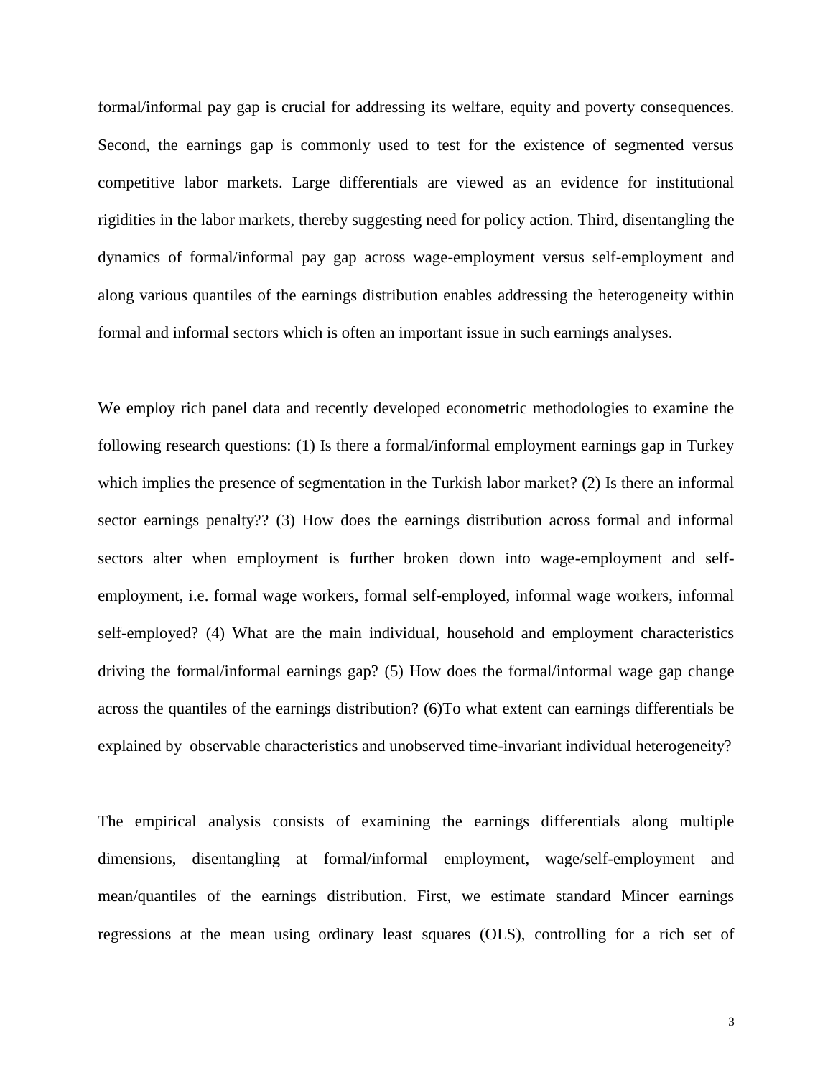formal/informal pay gap is crucial for addressing its welfare, equity and poverty consequences. Second, the earnings gap is commonly used to test for the existence of segmented versus competitive labor markets. Large differentials are viewed as an evidence for institutional rigidities in the labor markets, thereby suggesting need for policy action. Third, disentangling the dynamics of formal/informal pay gap across wage-employment versus self-employment and along various quantiles of the earnings distribution enables addressing the heterogeneity within formal and informal sectors which is often an important issue in such earnings analyses.

We employ rich panel data and recently developed econometric methodologies to examine the following research questions: (1) Is there a formal/informal employment earnings gap in Turkey which implies the presence of segmentation in the Turkish labor market? (2) Is there an informal sector earnings penalty?? (3) How does the earnings distribution across formal and informal sectors alter when employment is further broken down into wage-employment and selfemployment, i.e. formal wage workers, formal self-employed, informal wage workers, informal self-employed? (4) What are the main individual, household and employment characteristics driving the formal/informal earnings gap? (5) How does the formal/informal wage gap change across the quantiles of the earnings distribution? (6)To what extent can earnings differentials be explained by observable characteristics and unobserved time-invariant individual heterogeneity?

The empirical analysis consists of examining the earnings differentials along multiple dimensions, disentangling at formal/informal employment, wage/self-employment and mean/quantiles of the earnings distribution. First, we estimate standard Mincer earnings regressions at the mean using ordinary least squares (OLS), controlling for a rich set of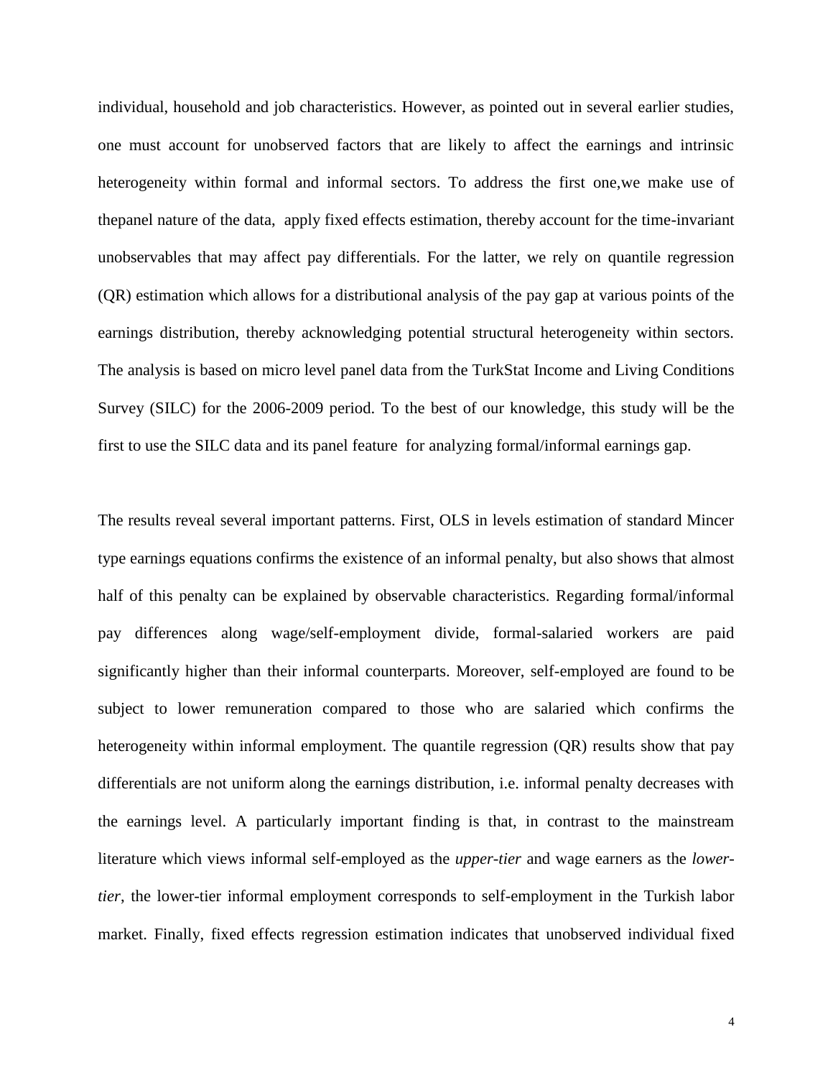individual, household and job characteristics. However, as pointed out in several earlier studies, one must account for unobserved factors that are likely to affect the earnings and intrinsic heterogeneity within formal and informal sectors. To address the first one,we make use of thepanel nature of the data, apply fixed effects estimation, thereby account for the time-invariant unobservables that may affect pay differentials. For the latter, we rely on quantile regression (QR) estimation which allows for a distributional analysis of the pay gap at various points of the earnings distribution, thereby acknowledging potential structural heterogeneity within sectors. The analysis is based on micro level panel data from the TurkStat Income and Living Conditions Survey (SILC) for the 2006-2009 period. To the best of our knowledge, this study will be the first to use the SILC data and its panel feature for analyzing formal/informal earnings gap.

The results reveal several important patterns. First, OLS in levels estimation of standard Mincer type earnings equations confirms the existence of an informal penalty, but also shows that almost half of this penalty can be explained by observable characteristics. Regarding formal/informal pay differences along wage/self-employment divide, formal-salaried workers are paid significantly higher than their informal counterparts. Moreover, self-employed are found to be subject to lower remuneration compared to those who are salaried which confirms the heterogeneity within informal employment. The quantile regression (QR) results show that pay differentials are not uniform along the earnings distribution, i.e. informal penalty decreases with the earnings level. A particularly important finding is that, in contrast to the mainstream literature which views informal self-employed as the *upper-tier* and wage earners as the *lowertier*, the lower-tier informal employment corresponds to self-employment in the Turkish labor market. Finally, fixed effects regression estimation indicates that unobserved individual fixed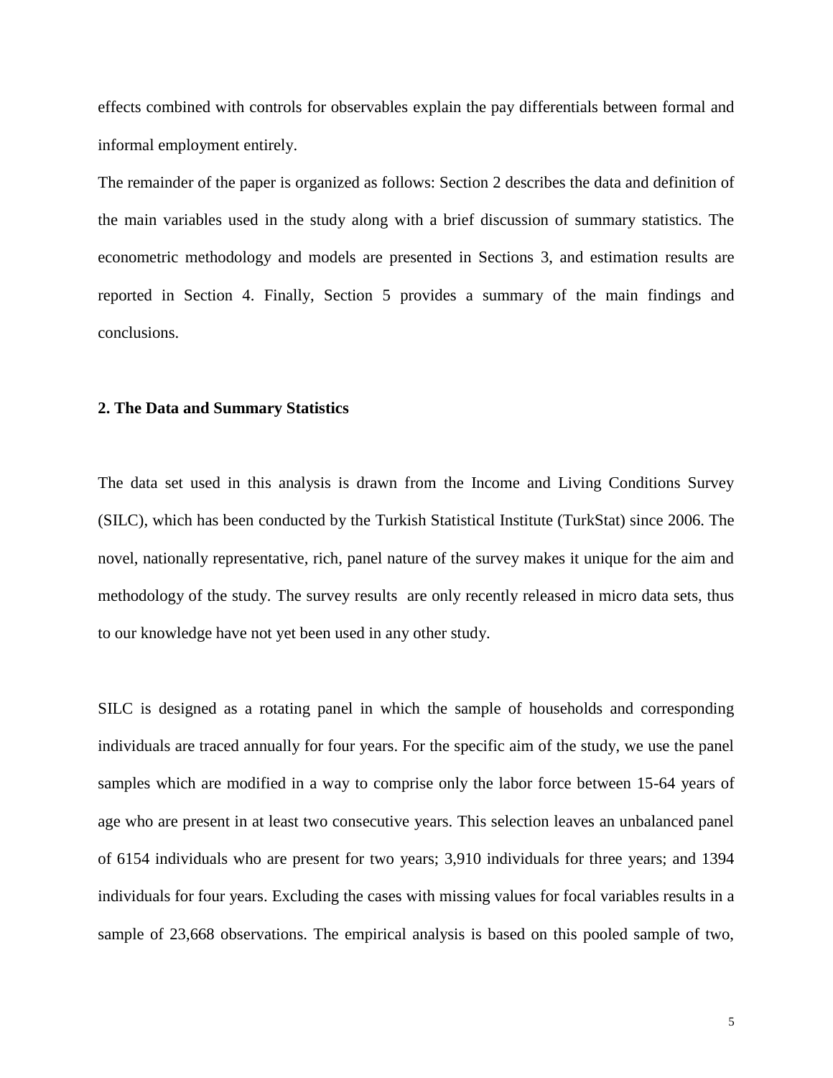effects combined with controls for observables explain the pay differentials between formal and informal employment entirely.

The remainder of the paper is organized as follows: Section 2 describes the data and definition of the main variables used in the study along with a brief discussion of summary statistics. The econometric methodology and models are presented in Sections 3, and estimation results are reported in Section 4. Finally, Section 5 provides a summary of the main findings and conclusions.

#### **2. The Data and Summary Statistics**

The data set used in this analysis is drawn from the Income and Living Conditions Survey (SILC), which has been conducted by the Turkish Statistical Institute (TurkStat) since 2006. The novel, nationally representative, rich, panel nature of the survey makes it unique for the aim and methodology of the study. The survey results are only recently released in micro data sets, thus to our knowledge have not yet been used in any other study.

SILC is designed as a rotating panel in which the sample of households and corresponding individuals are traced annually for four years. For the specific aim of the study, we use the panel samples which are modified in a way to comprise only the labor force between 15-64 years of age who are present in at least two consecutive years. This selection leaves an unbalanced panel of 6154 individuals who are present for two years; 3,910 individuals for three years; and 1394 individuals for four years. Excluding the cases with missing values for focal variables results in a sample of 23,668 observations. The empirical analysis is based on this pooled sample of two,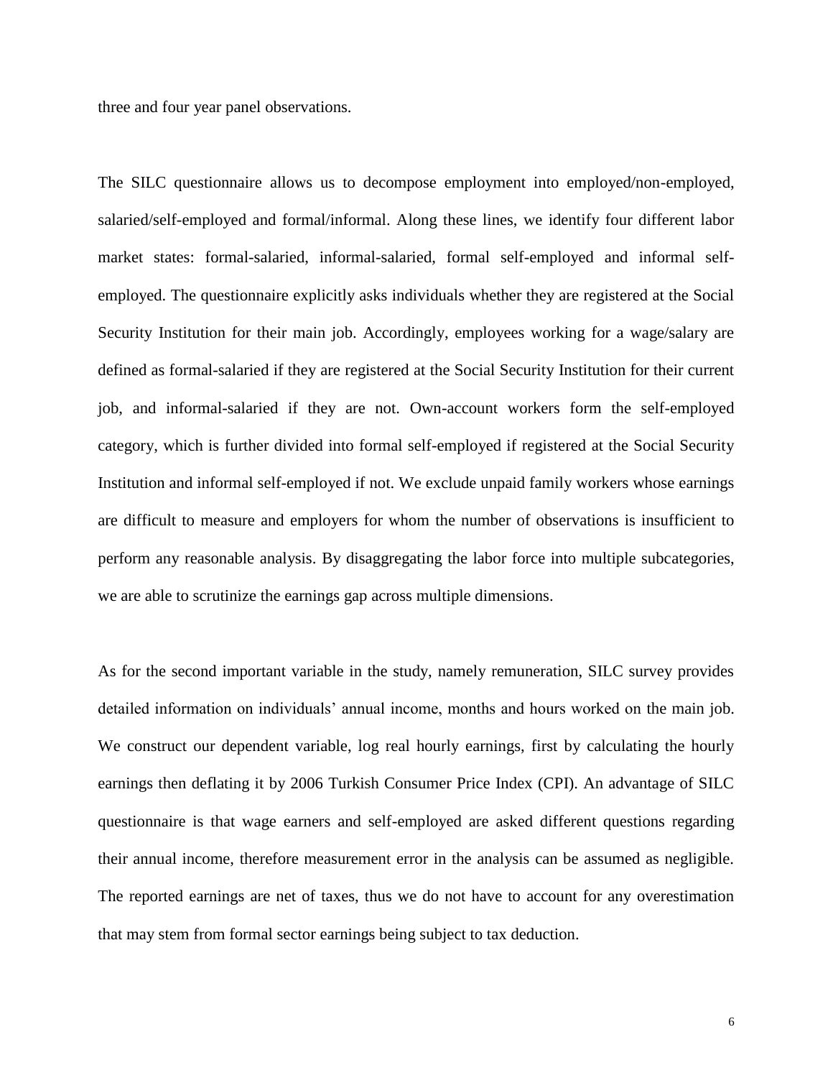three and four year panel observations.

The SILC questionnaire allows us to decompose employment into employed/non-employed, salaried/self-employed and formal/informal. Along these lines, we identify four different labor market states: formal-salaried, informal-salaried, formal self-employed and informal selfemployed. The questionnaire explicitly asks individuals whether they are registered at the Social Security Institution for their main job. Accordingly, employees working for a wage/salary are defined as formal-salaried if they are registered at the Social Security Institution for their current job, and informal-salaried if they are not. Own-account workers form the self-employed category, which is further divided into formal self-employed if registered at the Social Security Institution and informal self-employed if not. We exclude unpaid family workers whose earnings are difficult to measure and employers for whom the number of observations is insufficient to perform any reasonable analysis. By disaggregating the labor force into multiple subcategories, we are able to scrutinize the earnings gap across multiple dimensions.

As for the second important variable in the study, namely remuneration, SILC survey provides detailed information on individuals' annual income, months and hours worked on the main job. We construct our dependent variable, log real hourly earnings, first by calculating the hourly earnings then deflating it by 2006 Turkish Consumer Price Index (CPI). An advantage of SILC questionnaire is that wage earners and self-employed are asked different questions regarding their annual income, therefore measurement error in the analysis can be assumed as negligible. The reported earnings are net of taxes, thus we do not have to account for any overestimation that may stem from formal sector earnings being subject to tax deduction.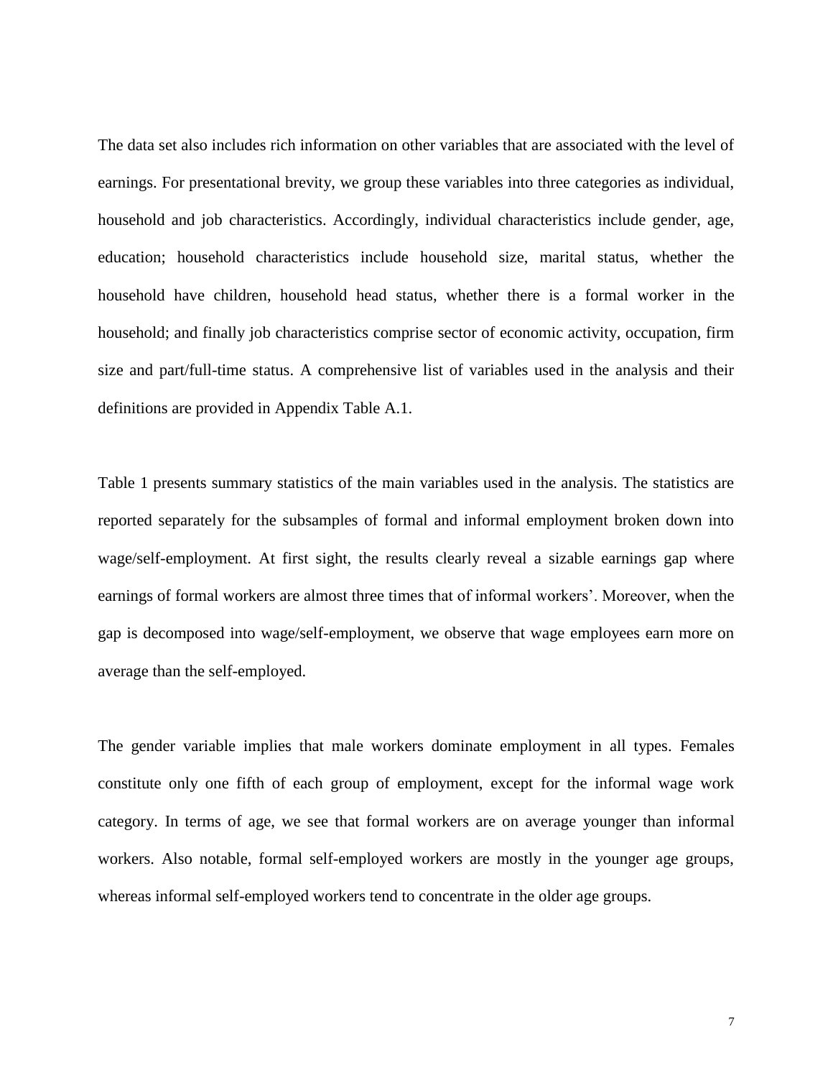The data set also includes rich information on other variables that are associated with the level of earnings. For presentational brevity, we group these variables into three categories as individual, household and job characteristics. Accordingly, individual characteristics include gender, age, education; household characteristics include household size, marital status, whether the household have children, household head status, whether there is a formal worker in the household; and finally job characteristics comprise sector of economic activity, occupation, firm size and part/full-time status. A comprehensive list of variables used in the analysis and their definitions are provided in Appendix Table A.1.

Table 1 presents summary statistics of the main variables used in the analysis. The statistics are reported separately for the subsamples of formal and informal employment broken down into wage/self-employment. At first sight, the results clearly reveal a sizable earnings gap where earnings of formal workers are almost three times that of informal workers'. Moreover, when the gap is decomposed into wage/self-employment, we observe that wage employees earn more on average than the self-employed.

The gender variable implies that male workers dominate employment in all types. Females constitute only one fifth of each group of employment, except for the informal wage work category. In terms of age, we see that formal workers are on average younger than informal workers. Also notable, formal self-employed workers are mostly in the younger age groups, whereas informal self-employed workers tend to concentrate in the older age groups.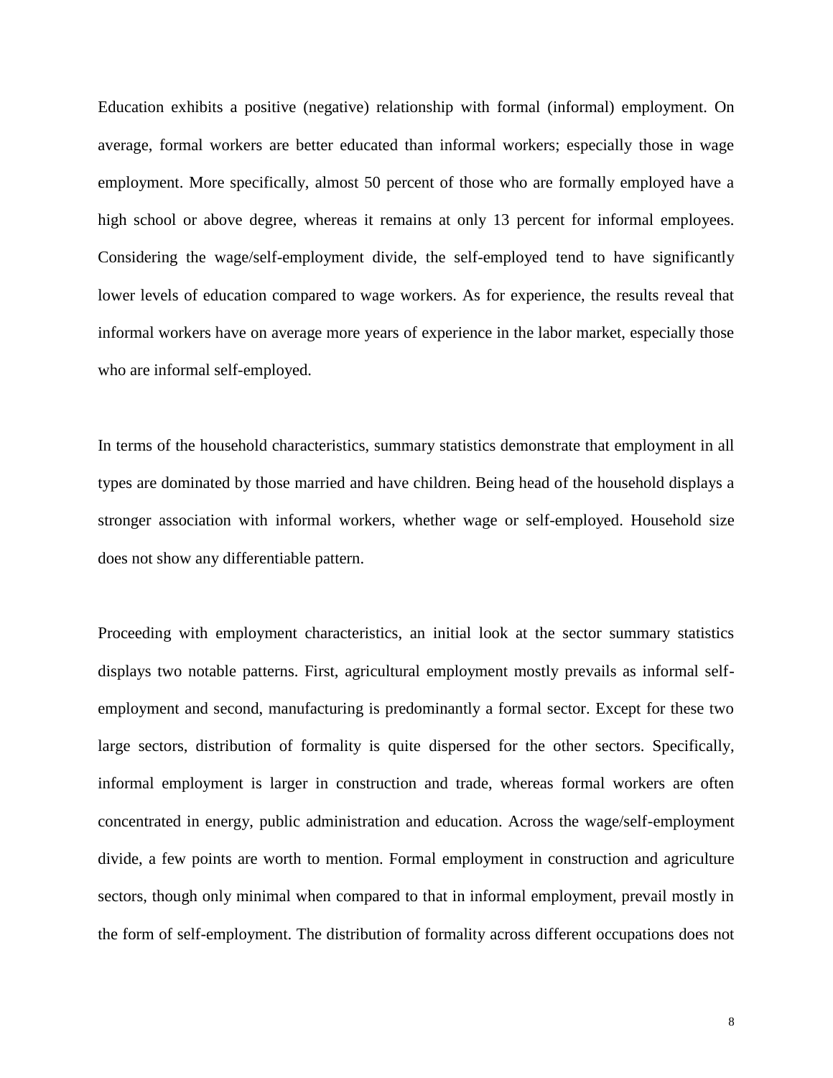Education exhibits a positive (negative) relationship with formal (informal) employment. On average, formal workers are better educated than informal workers; especially those in wage employment. More specifically, almost 50 percent of those who are formally employed have a high school or above degree, whereas it remains at only 13 percent for informal employees. Considering the wage/self-employment divide, the self-employed tend to have significantly lower levels of education compared to wage workers. As for experience, the results reveal that informal workers have on average more years of experience in the labor market, especially those who are informal self-employed.

In terms of the household characteristics, summary statistics demonstrate that employment in all types are dominated by those married and have children. Being head of the household displays a stronger association with informal workers, whether wage or self-employed. Household size does not show any differentiable pattern.

Proceeding with employment characteristics, an initial look at the sector summary statistics displays two notable patterns. First, agricultural employment mostly prevails as informal selfemployment and second, manufacturing is predominantly a formal sector. Except for these two large sectors, distribution of formality is quite dispersed for the other sectors. Specifically, informal employment is larger in construction and trade, whereas formal workers are often concentrated in energy, public administration and education. Across the wage/self-employment divide, a few points are worth to mention. Formal employment in construction and agriculture sectors, though only minimal when compared to that in informal employment, prevail mostly in the form of self-employment. The distribution of formality across different occupations does not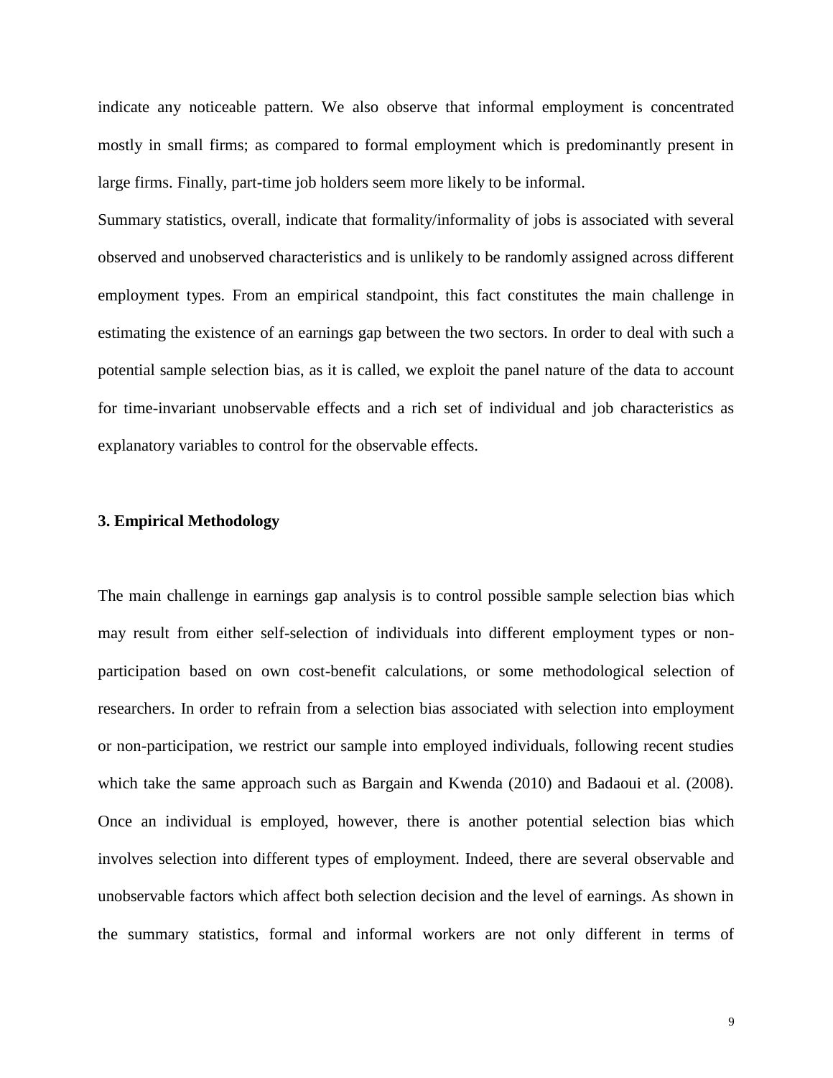indicate any noticeable pattern. We also observe that informal employment is concentrated mostly in small firms; as compared to formal employment which is predominantly present in large firms. Finally, part-time job holders seem more likely to be informal.

Summary statistics, overall, indicate that formality/informality of jobs is associated with several observed and unobserved characteristics and is unlikely to be randomly assigned across different employment types. From an empirical standpoint, this fact constitutes the main challenge in estimating the existence of an earnings gap between the two sectors. In order to deal with such a potential sample selection bias, as it is called, we exploit the panel nature of the data to account for time-invariant unobservable effects and a rich set of individual and job characteristics as explanatory variables to control for the observable effects.

#### **3. Empirical Methodology**

The main challenge in earnings gap analysis is to control possible sample selection bias which may result from either self-selection of individuals into different employment types or nonparticipation based on own cost-benefit calculations, or some methodological selection of researchers. In order to refrain from a selection bias associated with selection into employment or non-participation, we restrict our sample into employed individuals, following recent studies which take the same approach such as Bargain and Kwenda (2010) and Badaoui et al. (2008). Once an individual is employed, however, there is another potential selection bias which involves selection into different types of employment. Indeed, there are several observable and unobservable factors which affect both selection decision and the level of earnings. As shown in the summary statistics, formal and informal workers are not only different in terms of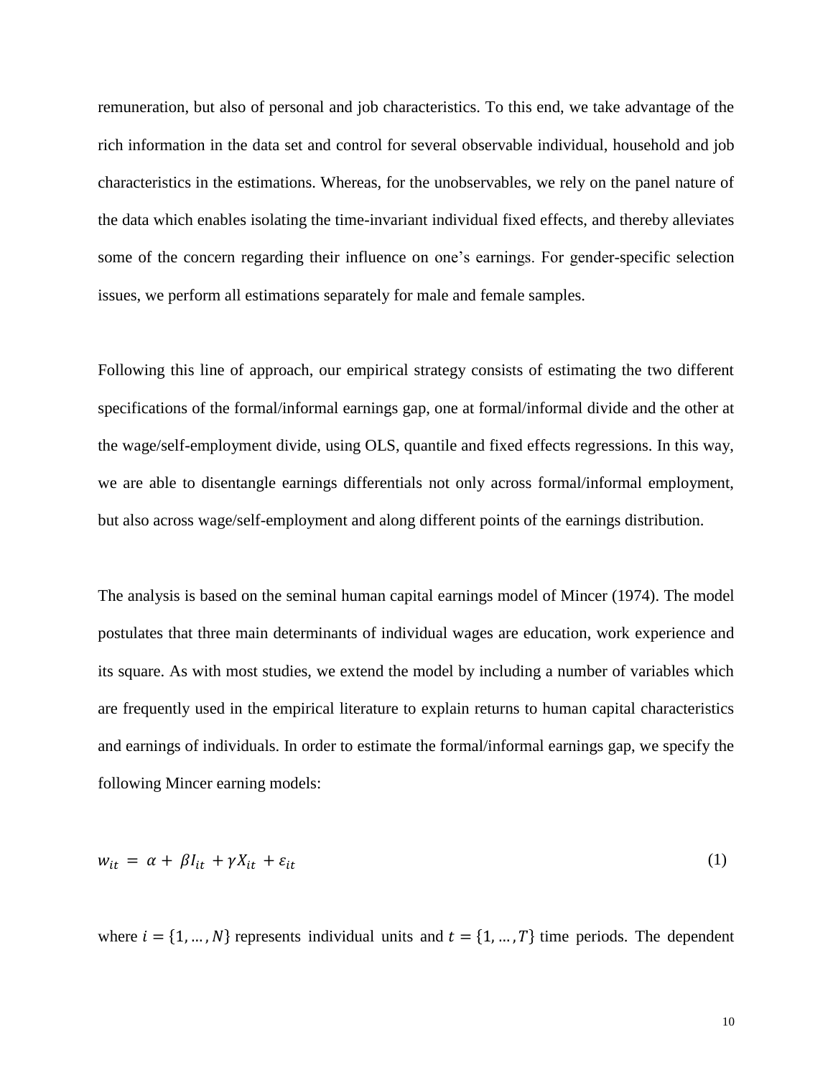remuneration, but also of personal and job characteristics. To this end, we take advantage of the rich information in the data set and control for several observable individual, household and job characteristics in the estimations. Whereas, for the unobservables, we rely on the panel nature of the data which enables isolating the time-invariant individual fixed effects, and thereby alleviates some of the concern regarding their influence on one's earnings. For gender-specific selection issues, we perform all estimations separately for male and female samples.

Following this line of approach, our empirical strategy consists of estimating the two different specifications of the formal/informal earnings gap, one at formal/informal divide and the other at the wage/self-employment divide, using OLS, quantile and fixed effects regressions. In this way, we are able to disentangle earnings differentials not only across formal/informal employment, but also across wage/self-employment and along different points of the earnings distribution.

The analysis is based on the seminal human capital earnings model of Mincer (1974). The model postulates that three main determinants of individual wages are education, work experience and its square. As with most studies, we extend the model by including a number of variables which are frequently used in the empirical literature to explain returns to human capital characteristics and earnings of individuals. In order to estimate the formal/informal earnings gap, we specify the following Mincer earning models:

$$
w_{it} = \alpha + \beta I_{it} + \gamma X_{it} + \varepsilon_{it} \tag{1}
$$

where  $i = \{1, ..., N\}$  represents individual units and  $t = \{1, ..., T\}$  time periods. The dependent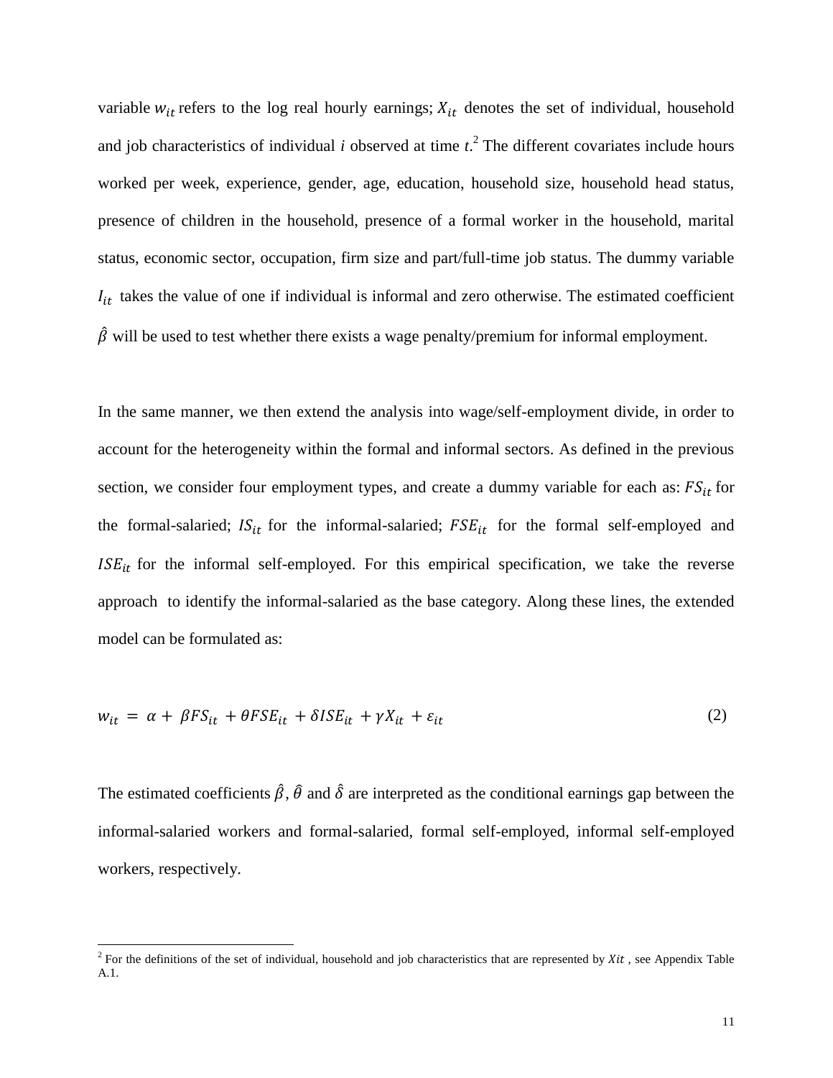variable  $w_{it}$  refers to the log real hourly earnings;  $X_{it}$  denotes the set of individual, household and job characteristics of individual *i* observed at time  $t^2$ . The different covariates include hours worked per week, experience, gender, age, education, household size, household head status, presence of children in the household, presence of a formal worker in the household, marital status, economic sector, occupation, firm size and part/full-time job status. The dummy variable  $I_{it}$  takes the value of one if individual is informal and zero otherwise. The estimated coefficient  $\hat{\beta}$  will be used to test whether there exists a wage penalty/premium for informal employment.

In the same manner, we then extend the analysis into wage/self-employment divide, in order to account for the heterogeneity within the formal and informal sectors. As defined in the previous section, we consider four employment types, and create a dummy variable for each as:  $FS_{it}$  for the formal-salaried;  $IS_{it}$  for the informal-salaried;  $FSE_{it}$  for the formal self-employed and  $ISE_{it}$  for the informal self-employed. For this empirical specification, we take the reverse approach to identify the informal-salaried as the base category. Along these lines, the extended model can be formulated as:

$$
w_{it} = \alpha + \beta FS_{it} + \theta FSE_{it} + \delta ISE_{it} + \gamma X_{it} + \varepsilon_{it}
$$
\n<sup>(2)</sup>

The estimated coefficients  $\hat{\beta}$ ,  $\hat{\theta}$  and  $\hat{\delta}$  are interpreted as the conditional earnings gap between the informal-salaried workers and formal-salaried, formal self-employed, informal self-employed workers, respectively.

<sup>&</sup>lt;sup>2</sup> For the definitions of the set of individual, household and job characteristics that are represented by  $Xit$ , see Appendix Table A.1.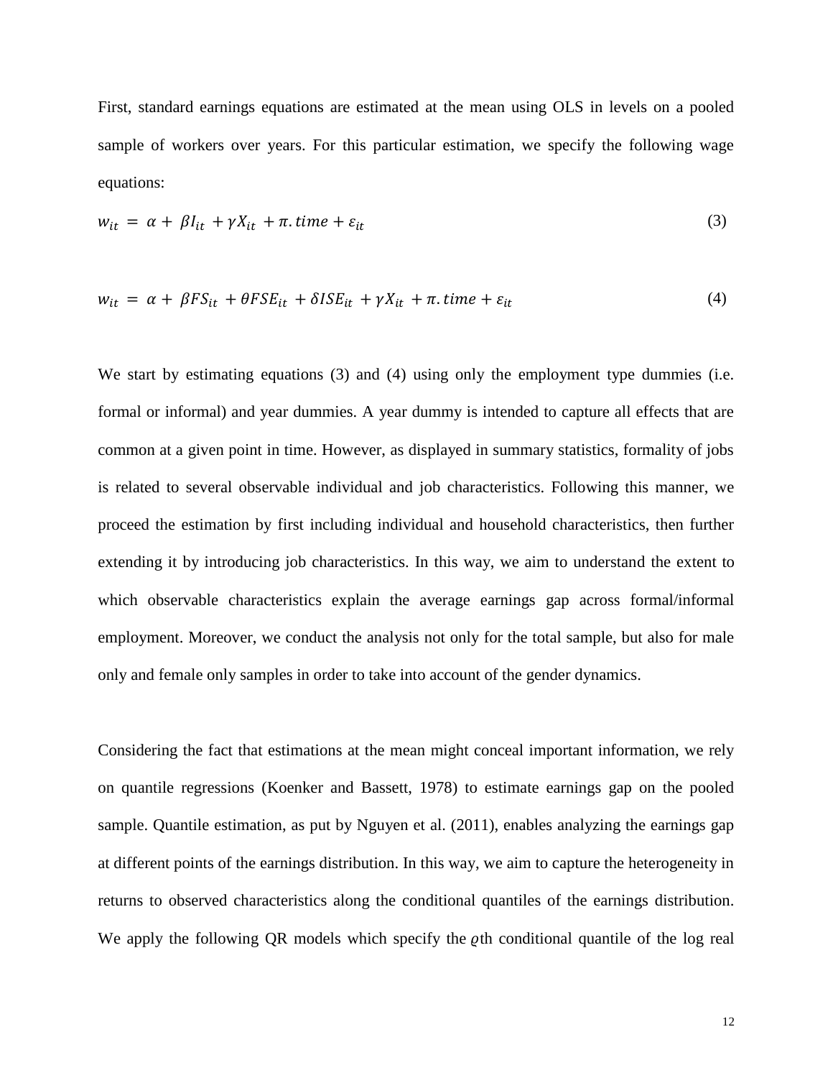First, standard earnings equations are estimated at the mean using OLS in levels on a pooled sample of workers over years. For this particular estimation, we specify the following wage equations:

$$
w_{it} = \alpha + \beta I_{it} + \gamma X_{it} + \pi \text{. time} + \varepsilon_{it}
$$
\n<sup>(3)</sup>

$$
w_{it} = \alpha + \beta FS_{it} + \theta FS_{it} + \delta ISE_{it} + \gamma X_{it} + \pi \text{. time} + \varepsilon_{it}
$$
\n
$$
\tag{4}
$$

We start by estimating equations (3) and (4) using only the employment type dummies (i.e. formal or informal) and year dummies. A year dummy is intended to capture all effects that are common at a given point in time. However, as displayed in summary statistics, formality of jobs is related to several observable individual and job characteristics. Following this manner, we proceed the estimation by first including individual and household characteristics, then further extending it by introducing job characteristics. In this way, we aim to understand the extent to which observable characteristics explain the average earnings gap across formal/informal employment. Moreover, we conduct the analysis not only for the total sample, but also for male only and female only samples in order to take into account of the gender dynamics.

Considering the fact that estimations at the mean might conceal important information, we rely on quantile regressions (Koenker and Bassett, 1978) to estimate earnings gap on the pooled sample. Quantile estimation, as put by Nguyen et al. (2011), enables analyzing the earnings gap at different points of the earnings distribution. In this way, we aim to capture the heterogeneity in returns to observed characteristics along the conditional quantiles of the earnings distribution. We apply the following  $QR$  models which specify the  $q$ th conditional quantile of the log real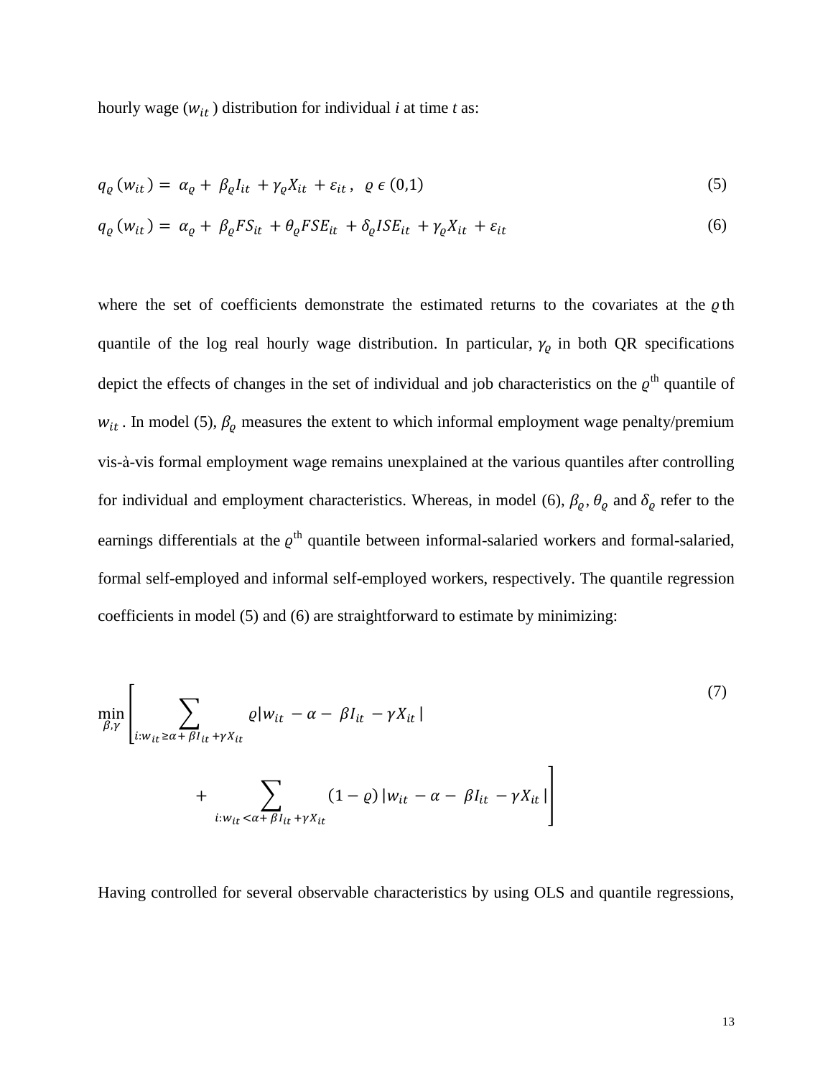hourly wage  $(w_{it})$  distribution for individual *i* at time *t* as:

$$
q_{\varrho}(w_{it}) = \alpha_{\varrho} + \beta_{\varrho} I_{it} + \gamma_{\varrho} X_{it} + \varepsilon_{it}, \ \varrho \in (0,1)
$$

$$
q_{\varrho}(w_{it}) = \alpha_{\varrho} + \beta_{\varrho} F S_{it} + \theta_{\varrho} F S E_{it} + \delta_{\varrho} I S E_{it} + \gamma_{\varrho} X_{it} + \varepsilon_{it}
$$
\n
$$
\tag{6}
$$

where the set of coefficients demonstrate the estimated returns to the covariates at the  $\rho$ th quantile of the log real hourly wage distribution. In particular,  $\gamma_{\varrho}$  in both QR specifications depict the effects of changes in the set of individual and job characteristics on the  $\varrho$ <sup>th</sup> quantile of  $w_{it}$ . In model (5),  $\beta_{\varrho}$  measures the extent to which informal employment wage penalty/premium vis-à-vis formal employment wage remains unexplained at the various quantiles after controlling for individual and employment characteristics. Whereas, in model (6),  $\beta_{\varrho}$ ,  $\theta_{\varrho}$  and  $\delta_{\varrho}$  refer to the earnings differentials at the  $\varrho$ <sup>th</sup> quantile between informal-salaried workers and formal-salaried, formal self-employed and informal self-employed workers, respectively. The quantile regression coefficients in model (5) and (6) are straightforward to estimate by minimizing:

$$
\min_{\beta,\gamma} \left[ \sum_{i:w_{it} \ge \alpha + \beta I_{it} + \gamma X_{it}} \varrho |w_{it} - \alpha - \beta I_{it} - \gamma X_{it}| \right]
$$
\n
$$
+ \sum_{i:w_{it} < \alpha + \beta I_{it} + \gamma X_{it}} (1 - \varrho) |w_{it} - \alpha - \beta I_{it} - \gamma X_{it}| \right]
$$
\n
$$
(7)
$$

Having controlled for several observable characteristics by using OLS and quantile regressions,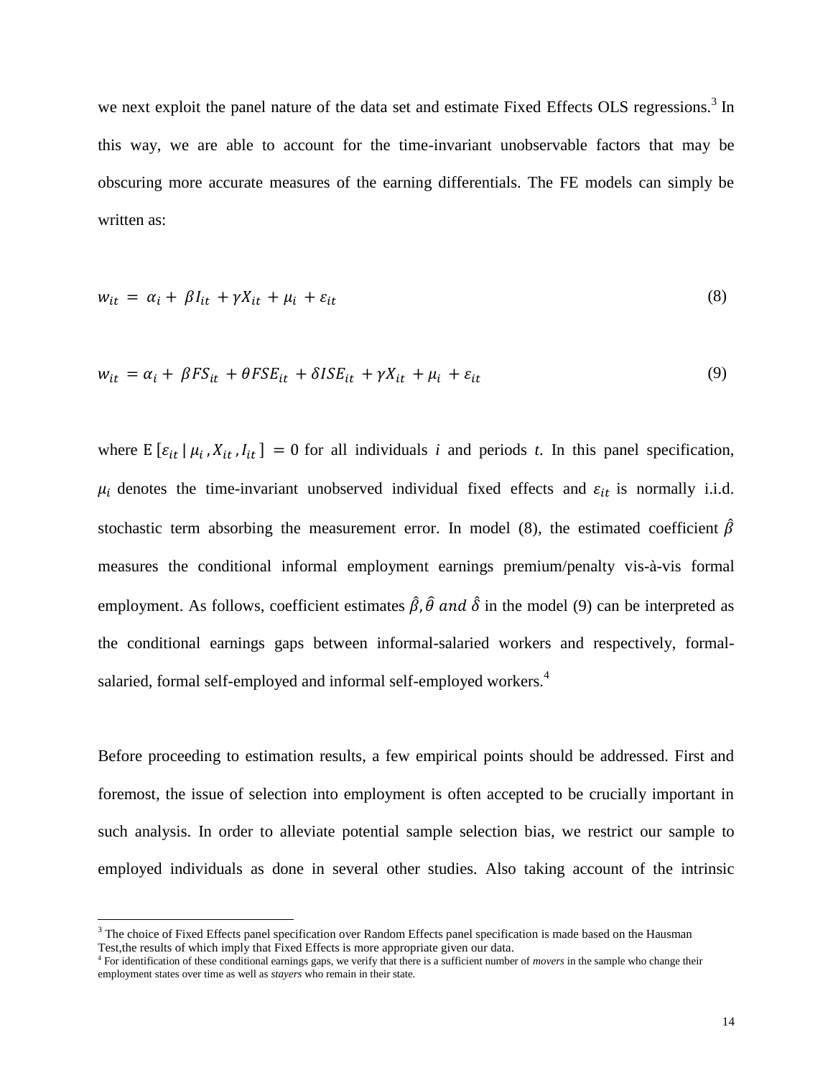we next exploit the panel nature of the data set and estimate Fixed Effects OLS regressions.<sup>3</sup> In this way, we are able to account for the time-invariant unobservable factors that may be obscuring more accurate measures of the earning differentials. The FE models can simply be written as:

$$
w_{it} = \alpha_i + \beta I_{it} + \gamma X_{it} + \mu_i + \varepsilon_{it}
$$
\n
$$
\tag{8}
$$

$$
w_{it} = \alpha_i + \beta FS_{it} + \theta FS_{it} + \delta ISE_{it} + \gamma X_{it} + \mu_i + \varepsilon_{it}
$$
\n
$$
\tag{9}
$$

where  $E [\varepsilon_{it} | \mu_i, X_{it}, I_{it}] = 0$  for all individuals *i* and periods *t*. In this panel specification,  $\mu_i$  denotes the time-invariant unobserved individual fixed effects and  $\varepsilon_{it}$  is normally i.i.d. stochastic term absorbing the measurement error. In model (8), the estimated coefficient  $\hat{\beta}$ measures the conditional informal employment earnings premium/penalty vis-à-vis formal employment. As follows, coefficient estimates  $\hat{\beta}$ ,  $\hat{\theta}$  and  $\hat{\delta}$  in the model (9) can be interpreted as the conditional earnings gaps between informal-salaried workers and respectively, formalsalaried, formal self-employed and informal self-employed workers.<sup>4</sup>

Before proceeding to estimation results, a few empirical points should be addressed. First and foremost, the issue of selection into employment is often accepted to be crucially important in such analysis. In order to alleviate potential sample selection bias, we restrict our sample to employed individuals as done in several other studies. Also taking account of the intrinsic

l

<sup>&</sup>lt;sup>3</sup> The choice of Fixed Effects panel specification over Random Effects panel specification is made based on the Hausman Test,the results of which imply that Fixed Effects is more appropriate given our data.

<sup>4</sup> For identification of these conditional earnings gaps, we verify that there is a sufficient number of *movers* in the sample who change their employment states over time as well as *stayers* who remain in their state.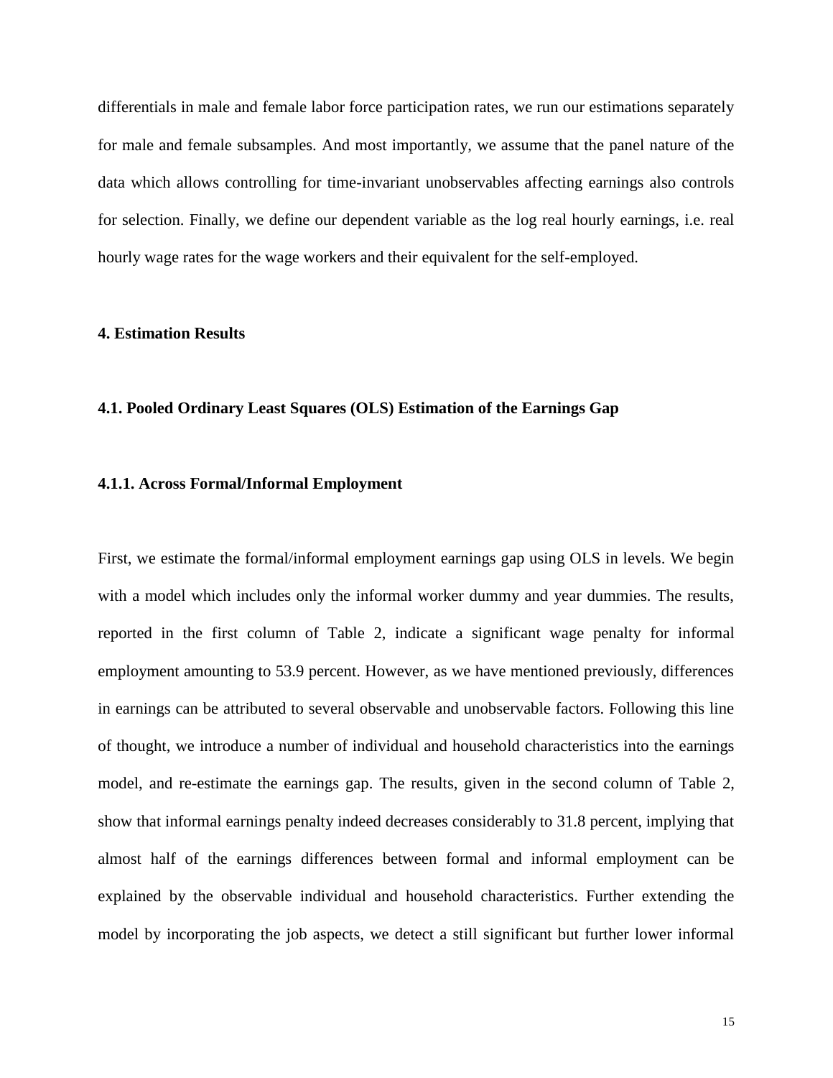differentials in male and female labor force participation rates, we run our estimations separately for male and female subsamples. And most importantly, we assume that the panel nature of the data which allows controlling for time-invariant unobservables affecting earnings also controls for selection. Finally, we define our dependent variable as the log real hourly earnings, i.e. real hourly wage rates for the wage workers and their equivalent for the self-employed.

#### **4. Estimation Results**

#### **4.1. Pooled Ordinary Least Squares (OLS) Estimation of the Earnings Gap**

#### **4.1.1. Across Formal/Informal Employment**

First, we estimate the formal/informal employment earnings gap using OLS in levels. We begin with a model which includes only the informal worker dummy and year dummies. The results, reported in the first column of Table 2, indicate a significant wage penalty for informal employment amounting to 53.9 percent. However, as we have mentioned previously, differences in earnings can be attributed to several observable and unobservable factors. Following this line of thought, we introduce a number of individual and household characteristics into the earnings model, and re-estimate the earnings gap. The results, given in the second column of Table 2, show that informal earnings penalty indeed decreases considerably to 31.8 percent, implying that almost half of the earnings differences between formal and informal employment can be explained by the observable individual and household characteristics. Further extending the model by incorporating the job aspects, we detect a still significant but further lower informal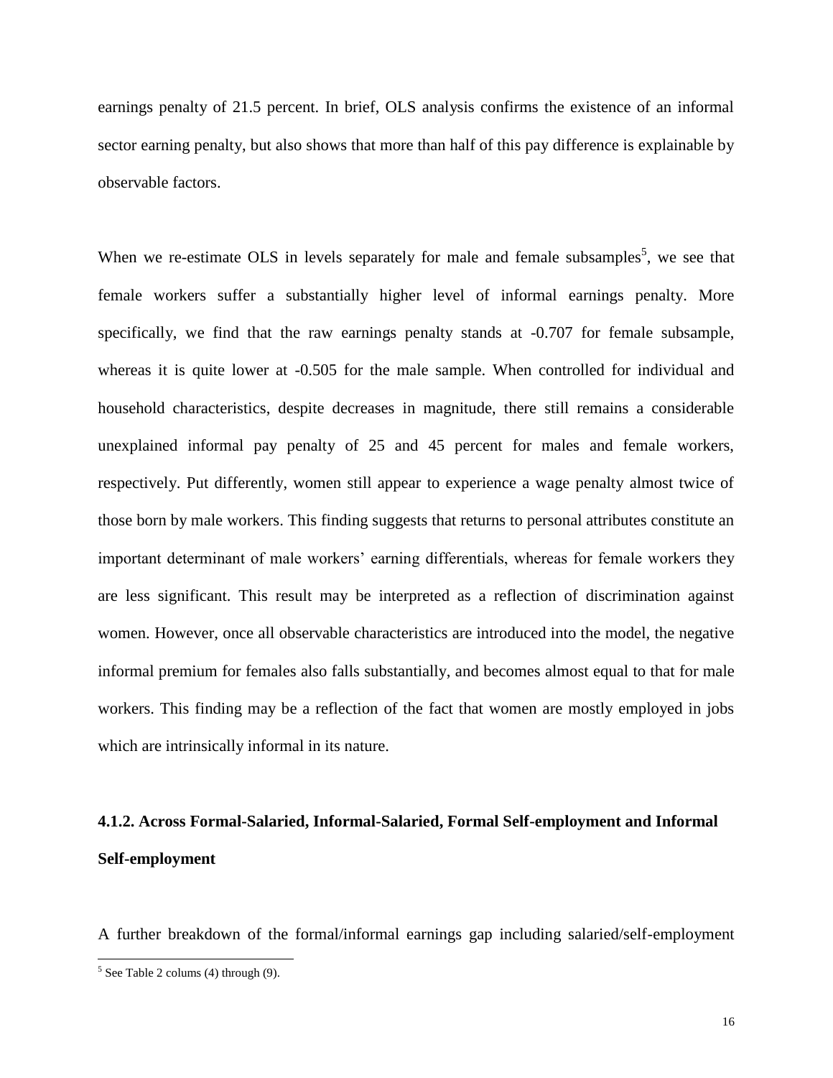earnings penalty of 21.5 percent. In brief, OLS analysis confirms the existence of an informal sector earning penalty, but also shows that more than half of this pay difference is explainable by observable factors.

When we re-estimate OLS in levels separately for male and female subsamples<sup>5</sup>, we see that female workers suffer a substantially higher level of informal earnings penalty. More specifically, we find that the raw earnings penalty stands at -0.707 for female subsample, whereas it is quite lower at -0.505 for the male sample. When controlled for individual and household characteristics, despite decreases in magnitude, there still remains a considerable unexplained informal pay penalty of 25 and 45 percent for males and female workers, respectively. Put differently, women still appear to experience a wage penalty almost twice of those born by male workers. This finding suggests that returns to personal attributes constitute an important determinant of male workers' earning differentials, whereas for female workers they are less significant. This result may be interpreted as a reflection of discrimination against women. However, once all observable characteristics are introduced into the model, the negative informal premium for females also falls substantially, and becomes almost equal to that for male workers. This finding may be a reflection of the fact that women are mostly employed in jobs which are intrinsically informal in its nature.

# **4.1.2. Across Formal-Salaried, Informal-Salaried, Formal Self-employment and Informal Self-employment**

A further breakdown of the formal/informal earnings gap including salaried/self-employment

 $5$  See Table 2 colums (4) through (9).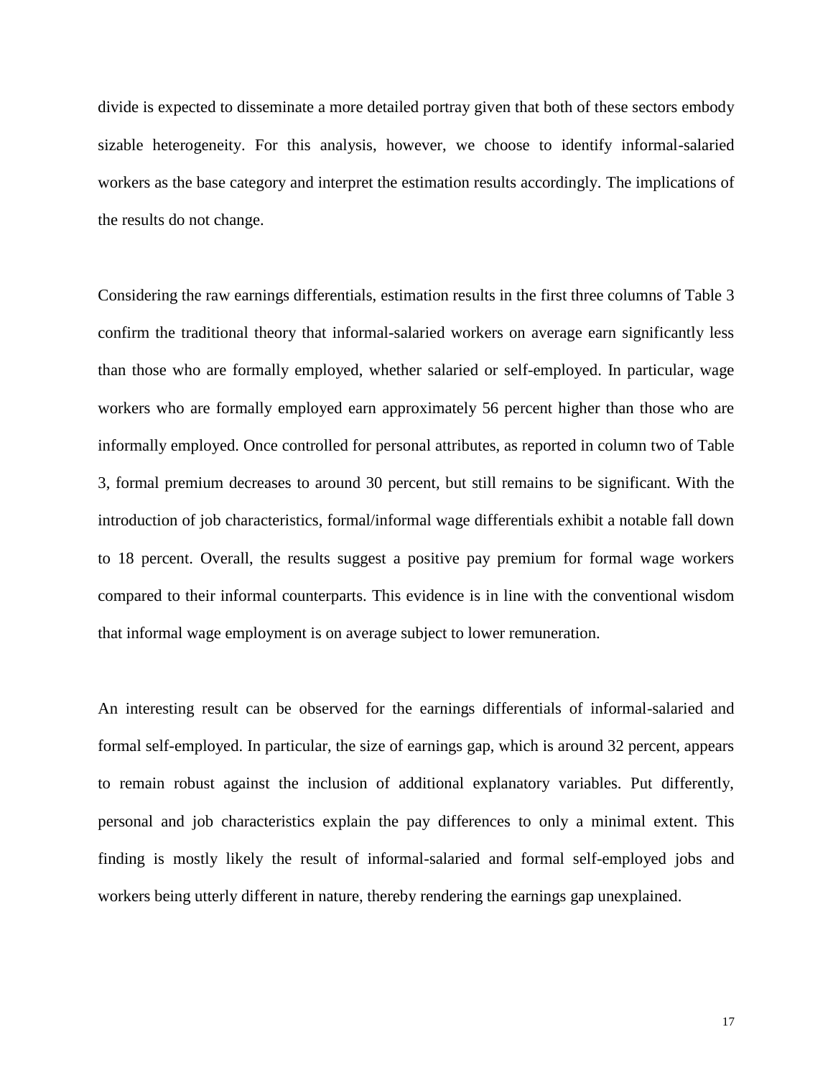divide is expected to disseminate a more detailed portray given that both of these sectors embody sizable heterogeneity. For this analysis, however, we choose to identify informal-salaried workers as the base category and interpret the estimation results accordingly. The implications of the results do not change.

Considering the raw earnings differentials, estimation results in the first three columns of Table 3 confirm the traditional theory that informal-salaried workers on average earn significantly less than those who are formally employed, whether salaried or self-employed. In particular, wage workers who are formally employed earn approximately 56 percent higher than those who are informally employed. Once controlled for personal attributes, as reported in column two of Table 3, formal premium decreases to around 30 percent, but still remains to be significant. With the introduction of job characteristics, formal/informal wage differentials exhibit a notable fall down to 18 percent. Overall, the results suggest a positive pay premium for formal wage workers compared to their informal counterparts. This evidence is in line with the conventional wisdom that informal wage employment is on average subject to lower remuneration.

An interesting result can be observed for the earnings differentials of informal-salaried and formal self-employed. In particular, the size of earnings gap, which is around 32 percent, appears to remain robust against the inclusion of additional explanatory variables. Put differently, personal and job characteristics explain the pay differences to only a minimal extent. This finding is mostly likely the result of informal-salaried and formal self-employed jobs and workers being utterly different in nature, thereby rendering the earnings gap unexplained.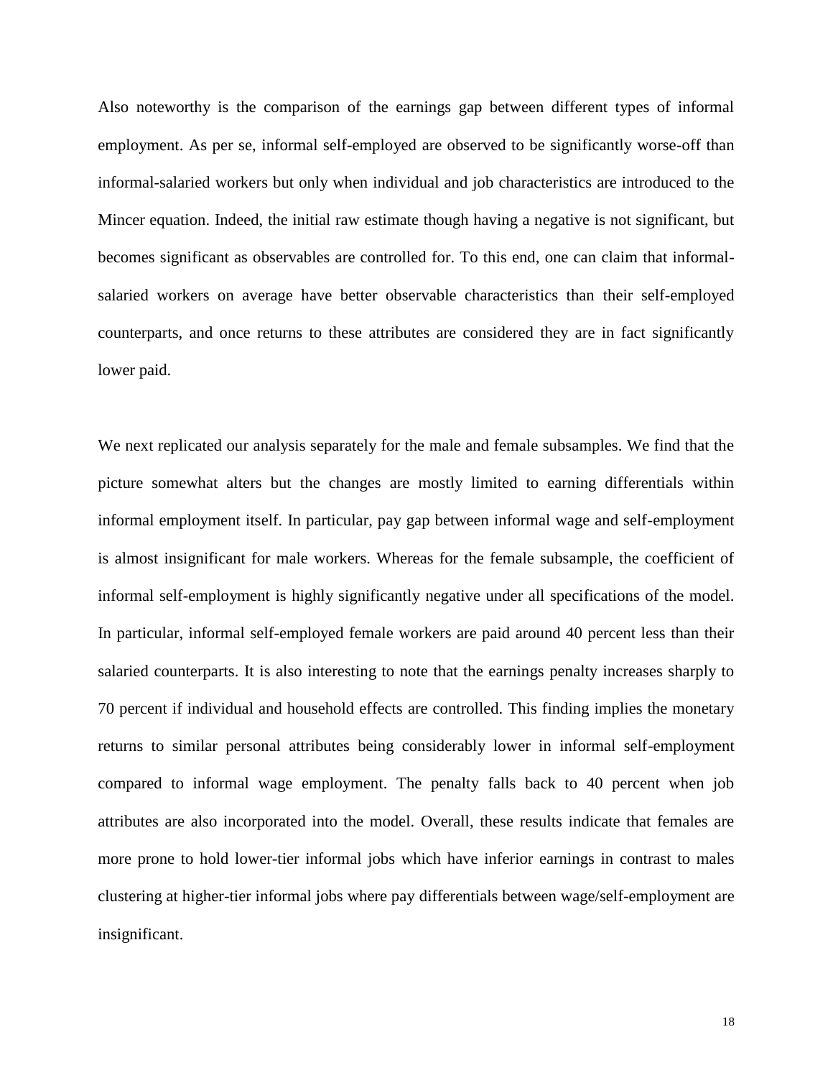Also noteworthy is the comparison of the earnings gap between different types of informal employment. As per se, informal self-employed are observed to be significantly worse-off than informal-salaried workers but only when individual and job characteristics are introduced to the Mincer equation. Indeed, the initial raw estimate though having a negative is not significant, but becomes significant as observables are controlled for. To this end, one can claim that informalsalaried workers on average have better observable characteristics than their self-employed counterparts, and once returns to these attributes are considered they are in fact significantly lower paid.

We next replicated our analysis separately for the male and female subsamples. We find that the picture somewhat alters but the changes are mostly limited to earning differentials within informal employment itself. In particular, pay gap between informal wage and self-employment is almost insignificant for male workers. Whereas for the female subsample, the coefficient of informal self-employment is highly significantly negative under all specifications of the model. In particular, informal self-employed female workers are paid around 40 percent less than their salaried counterparts. It is also interesting to note that the earnings penalty increases sharply to 70 percent if individual and household effects are controlled. This finding implies the monetary returns to similar personal attributes being considerably lower in informal self-employment compared to informal wage employment. The penalty falls back to 40 percent when job attributes are also incorporated into the model. Overall, these results indicate that females are more prone to hold lower-tier informal jobs which have inferior earnings in contrast to males clustering at higher-tier informal jobs where pay differentials between wage/self-employment are insignificant.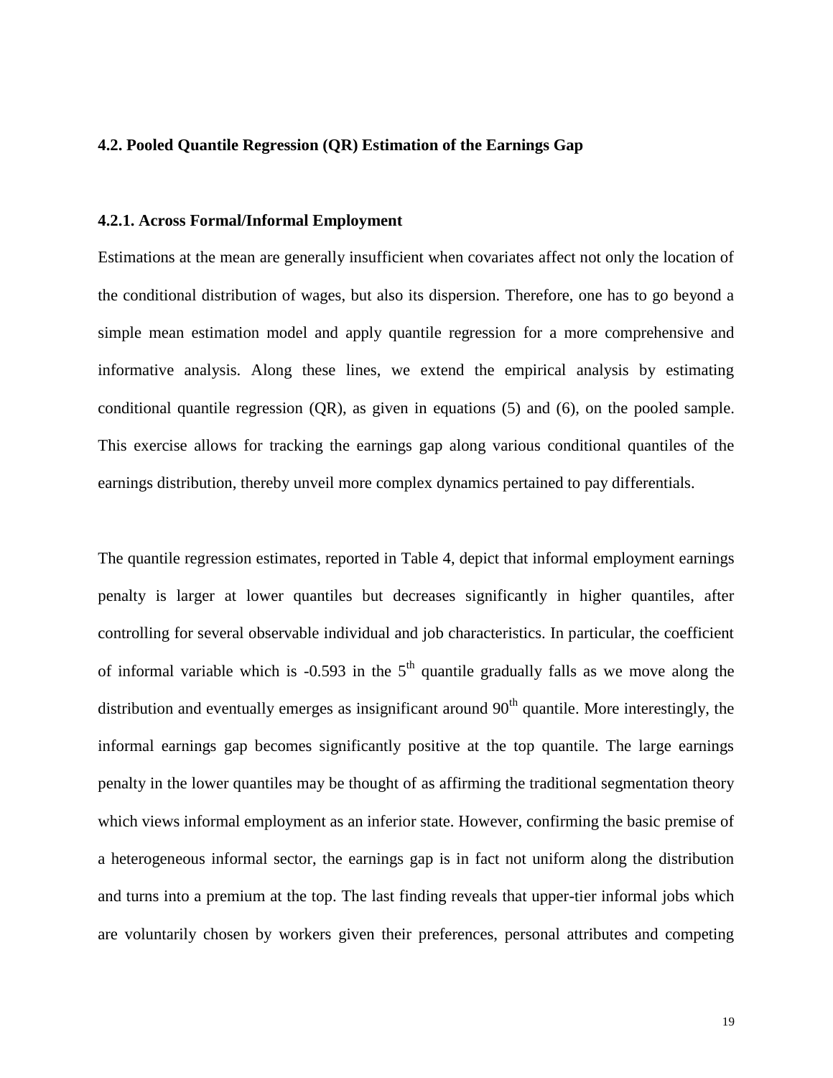#### **4.2. Pooled Quantile Regression (QR) Estimation of the Earnings Gap**

#### **4.2.1. Across Formal/Informal Employment**

Estimations at the mean are generally insufficient when covariates affect not only the location of the conditional distribution of wages, but also its dispersion. Therefore, one has to go beyond a simple mean estimation model and apply quantile regression for a more comprehensive and informative analysis. Along these lines, we extend the empirical analysis by estimating conditional quantile regression (QR), as given in equations (5) and (6), on the pooled sample. This exercise allows for tracking the earnings gap along various conditional quantiles of the earnings distribution, thereby unveil more complex dynamics pertained to pay differentials.

The quantile regression estimates, reported in Table 4, depict that informal employment earnings penalty is larger at lower quantiles but decreases significantly in higher quantiles, after controlling for several observable individual and job characteristics. In particular, the coefficient of informal variable which is  $-0.593$  in the  $5<sup>th</sup>$  quantile gradually falls as we move along the distribution and eventually emerges as insignificant around  $90<sup>th</sup>$  quantile. More interestingly, the informal earnings gap becomes significantly positive at the top quantile. The large earnings penalty in the lower quantiles may be thought of as affirming the traditional segmentation theory which views informal employment as an inferior state. However, confirming the basic premise of a heterogeneous informal sector, the earnings gap is in fact not uniform along the distribution and turns into a premium at the top. The last finding reveals that upper-tier informal jobs which are voluntarily chosen by workers given their preferences, personal attributes and competing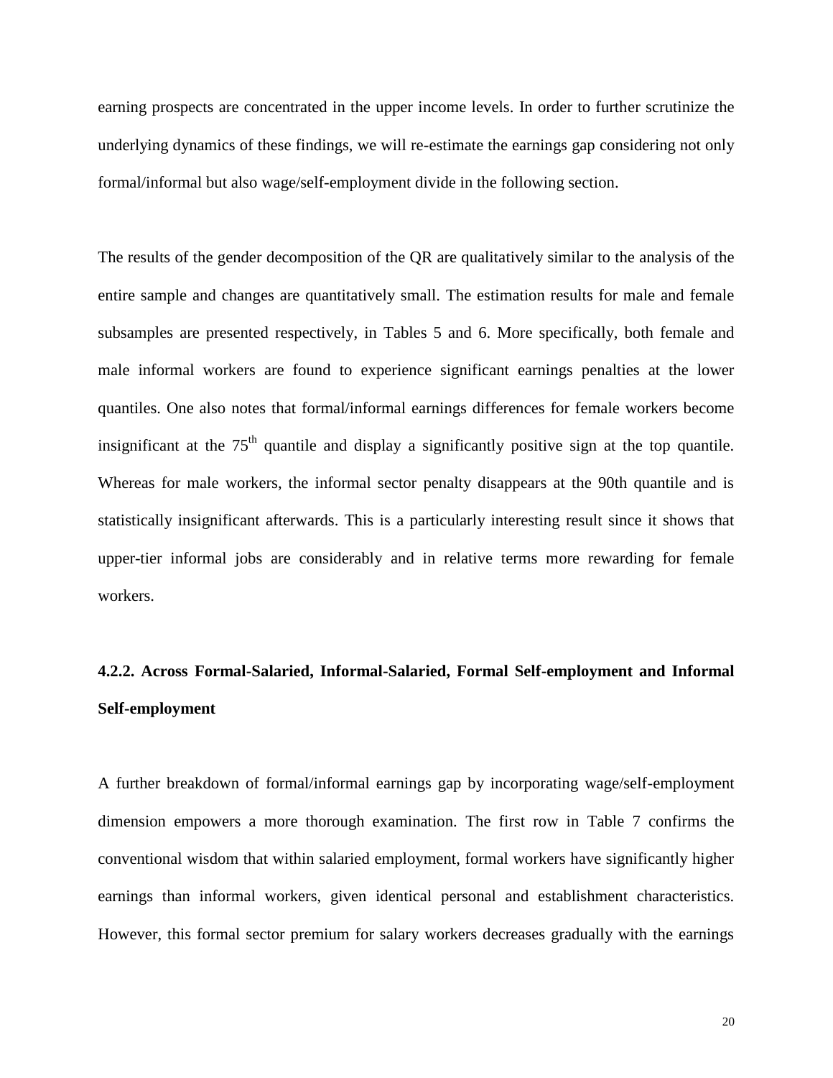earning prospects are concentrated in the upper income levels. In order to further scrutinize the underlying dynamics of these findings, we will re-estimate the earnings gap considering not only formal/informal but also wage/self-employment divide in the following section.

The results of the gender decomposition of the QR are qualitatively similar to the analysis of the entire sample and changes are quantitatively small. The estimation results for male and female subsamples are presented respectively, in Tables 5 and 6. More specifically, both female and male informal workers are found to experience significant earnings penalties at the lower quantiles. One also notes that formal/informal earnings differences for female workers become insignificant at the  $75<sup>th</sup>$  quantile and display a significantly positive sign at the top quantile. Whereas for male workers, the informal sector penalty disappears at the 90th quantile and is statistically insignificant afterwards. This is a particularly interesting result since it shows that upper-tier informal jobs are considerably and in relative terms more rewarding for female workers.

# **4.2.2. Across Formal-Salaried, Informal-Salaried, Formal Self-employment and Informal Self-employment**

A further breakdown of formal/informal earnings gap by incorporating wage/self-employment dimension empowers a more thorough examination. The first row in Table 7 confirms the conventional wisdom that within salaried employment, formal workers have significantly higher earnings than informal workers, given identical personal and establishment characteristics. However, this formal sector premium for salary workers decreases gradually with the earnings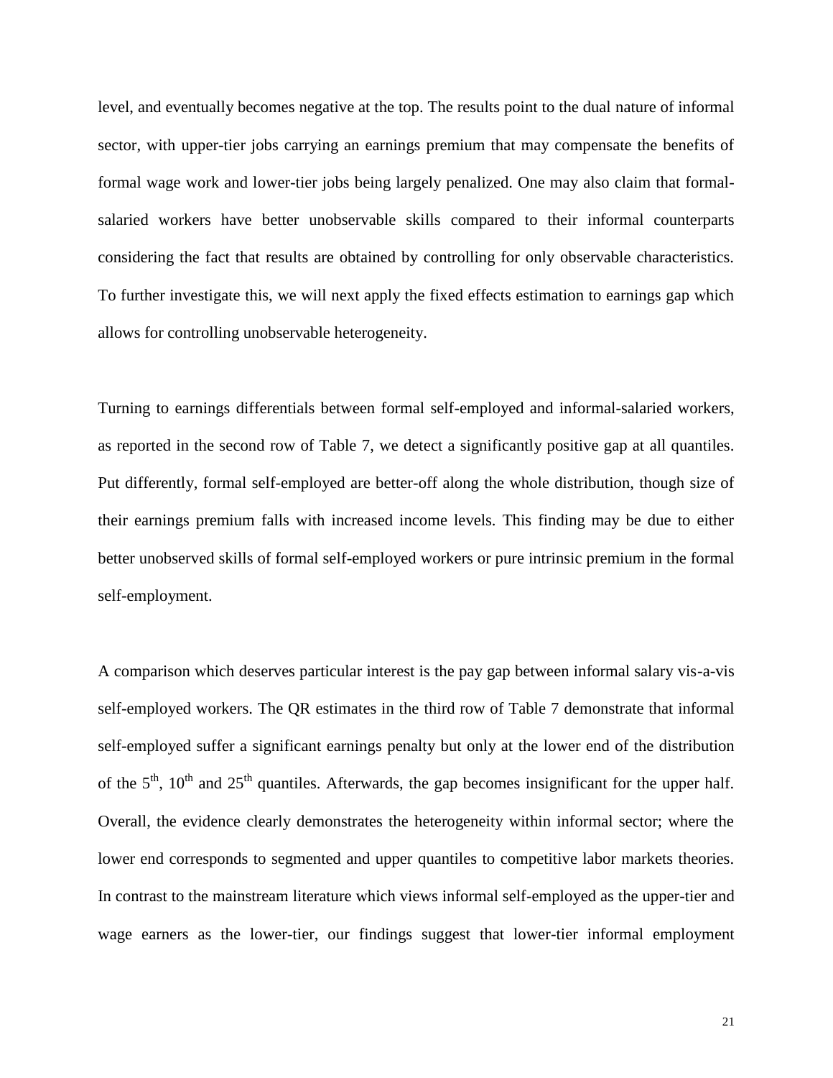level, and eventually becomes negative at the top. The results point to the dual nature of informal sector, with upper-tier jobs carrying an earnings premium that may compensate the benefits of formal wage work and lower-tier jobs being largely penalized. One may also claim that formalsalaried workers have better unobservable skills compared to their informal counterparts considering the fact that results are obtained by controlling for only observable characteristics. To further investigate this, we will next apply the fixed effects estimation to earnings gap which allows for controlling unobservable heterogeneity.

Turning to earnings differentials between formal self-employed and informal-salaried workers, as reported in the second row of Table 7, we detect a significantly positive gap at all quantiles. Put differently, formal self-employed are better-off along the whole distribution, though size of their earnings premium falls with increased income levels. This finding may be due to either better unobserved skills of formal self-employed workers or pure intrinsic premium in the formal self-employment.

A comparison which deserves particular interest is the pay gap between informal salary vis-a-vis self-employed workers. The QR estimates in the third row of Table 7 demonstrate that informal self-employed suffer a significant earnings penalty but only at the lower end of the distribution of the  $5<sup>th</sup>$ ,  $10<sup>th</sup>$  and  $25<sup>th</sup>$  quantiles. Afterwards, the gap becomes insignificant for the upper half. Overall, the evidence clearly demonstrates the heterogeneity within informal sector; where the lower end corresponds to segmented and upper quantiles to competitive labor markets theories. In contrast to the mainstream literature which views informal self-employed as the upper-tier and wage earners as the lower-tier, our findings suggest that lower-tier informal employment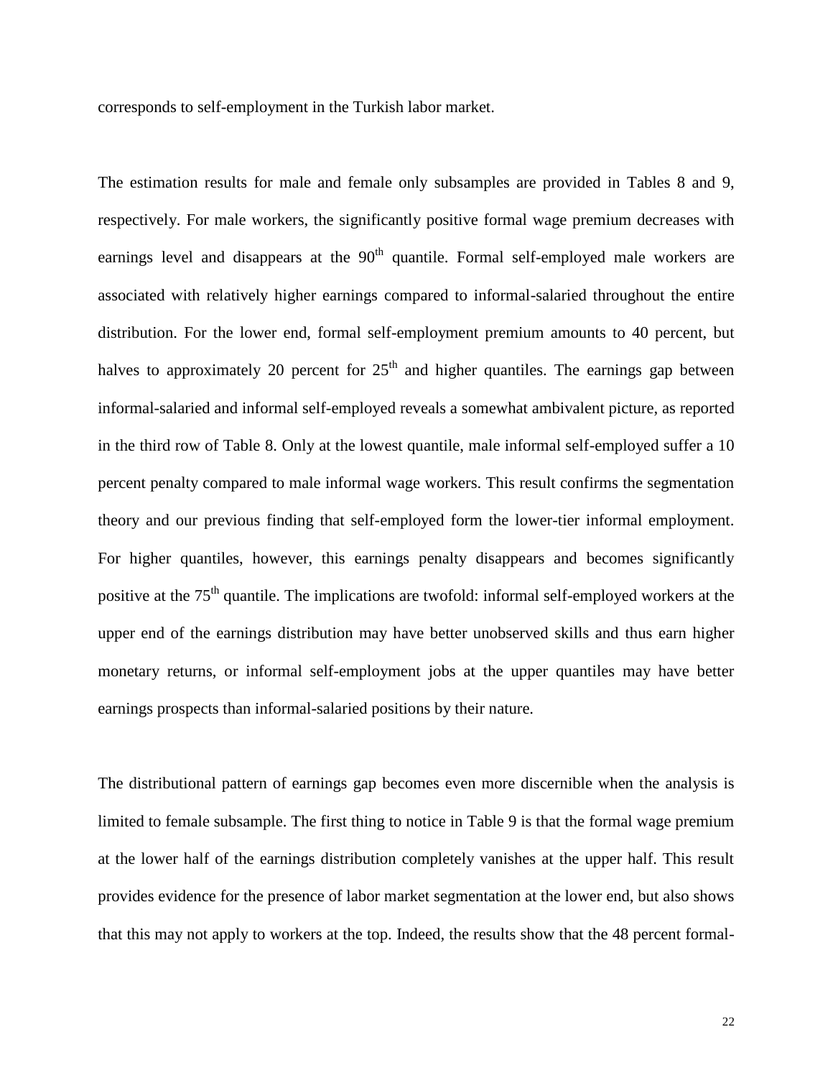corresponds to self-employment in the Turkish labor market.

The estimation results for male and female only subsamples are provided in Tables 8 and 9, respectively. For male workers, the significantly positive formal wage premium decreases with earnings level and disappears at the  $90<sup>th</sup>$  quantile. Formal self-employed male workers are associated with relatively higher earnings compared to informal-salaried throughout the entire distribution. For the lower end, formal self-employment premium amounts to 40 percent, but halves to approximately 20 percent for  $25<sup>th</sup>$  and higher quantiles. The earnings gap between informal-salaried and informal self-employed reveals a somewhat ambivalent picture, as reported in the third row of Table 8. Only at the lowest quantile, male informal self-employed suffer a 10 percent penalty compared to male informal wage workers. This result confirms the segmentation theory and our previous finding that self-employed form the lower-tier informal employment. For higher quantiles, however, this earnings penalty disappears and becomes significantly positive at the 75<sup>th</sup> quantile. The implications are twofold: informal self-employed workers at the upper end of the earnings distribution may have better unobserved skills and thus earn higher monetary returns, or informal self-employment jobs at the upper quantiles may have better earnings prospects than informal-salaried positions by their nature.

The distributional pattern of earnings gap becomes even more discernible when the analysis is limited to female subsample. The first thing to notice in Table 9 is that the formal wage premium at the lower half of the earnings distribution completely vanishes at the upper half. This result provides evidence for the presence of labor market segmentation at the lower end, but also shows that this may not apply to workers at the top. Indeed, the results show that the 48 percent formal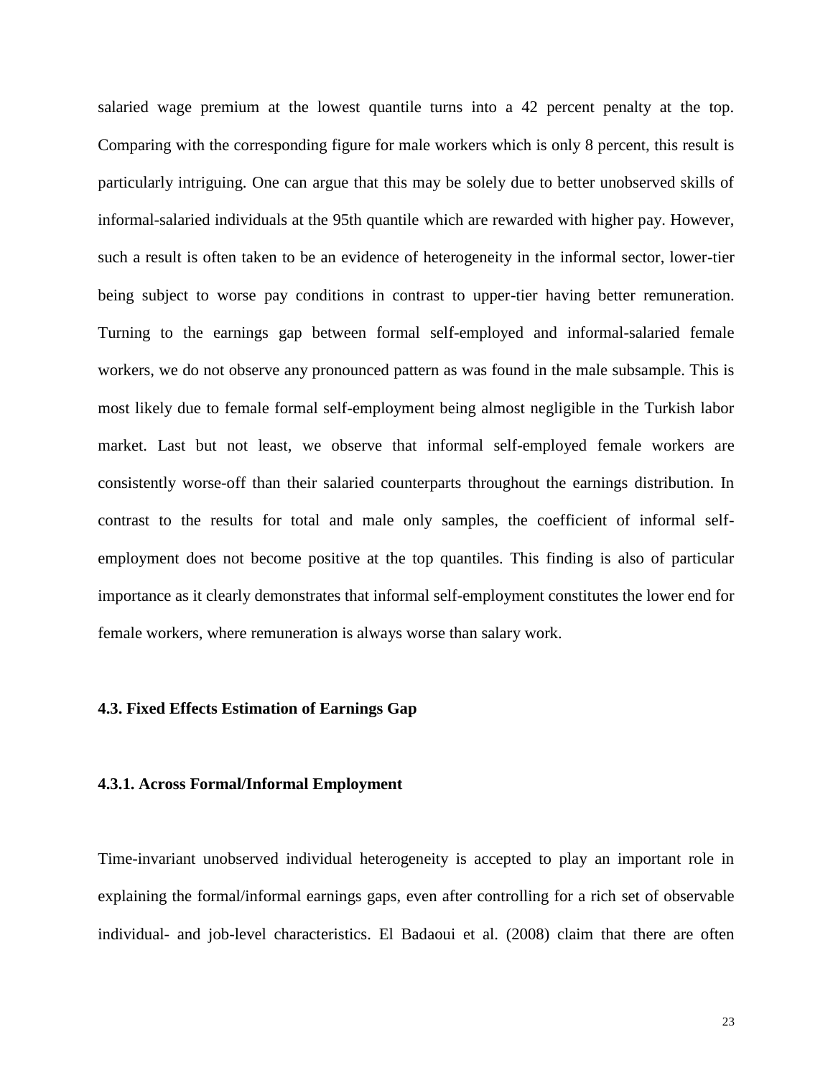salaried wage premium at the lowest quantile turns into a 42 percent penalty at the top. Comparing with the corresponding figure for male workers which is only 8 percent, this result is particularly intriguing. One can argue that this may be solely due to better unobserved skills of informal-salaried individuals at the 95th quantile which are rewarded with higher pay. However, such a result is often taken to be an evidence of heterogeneity in the informal sector, lower-tier being subject to worse pay conditions in contrast to upper-tier having better remuneration. Turning to the earnings gap between formal self-employed and informal-salaried female workers, we do not observe any pronounced pattern as was found in the male subsample. This is most likely due to female formal self-employment being almost negligible in the Turkish labor market. Last but not least, we observe that informal self-employed female workers are consistently worse-off than their salaried counterparts throughout the earnings distribution. In contrast to the results for total and male only samples, the coefficient of informal selfemployment does not become positive at the top quantiles. This finding is also of particular importance as it clearly demonstrates that informal self-employment constitutes the lower end for female workers, where remuneration is always worse than salary work.

### **4.3. Fixed Effects Estimation of Earnings Gap**

#### **4.3.1. Across Formal/Informal Employment**

Time-invariant unobserved individual heterogeneity is accepted to play an important role in explaining the formal/informal earnings gaps, even after controlling for a rich set of observable individual- and job-level characteristics. El Badaoui et al. (2008) claim that there are often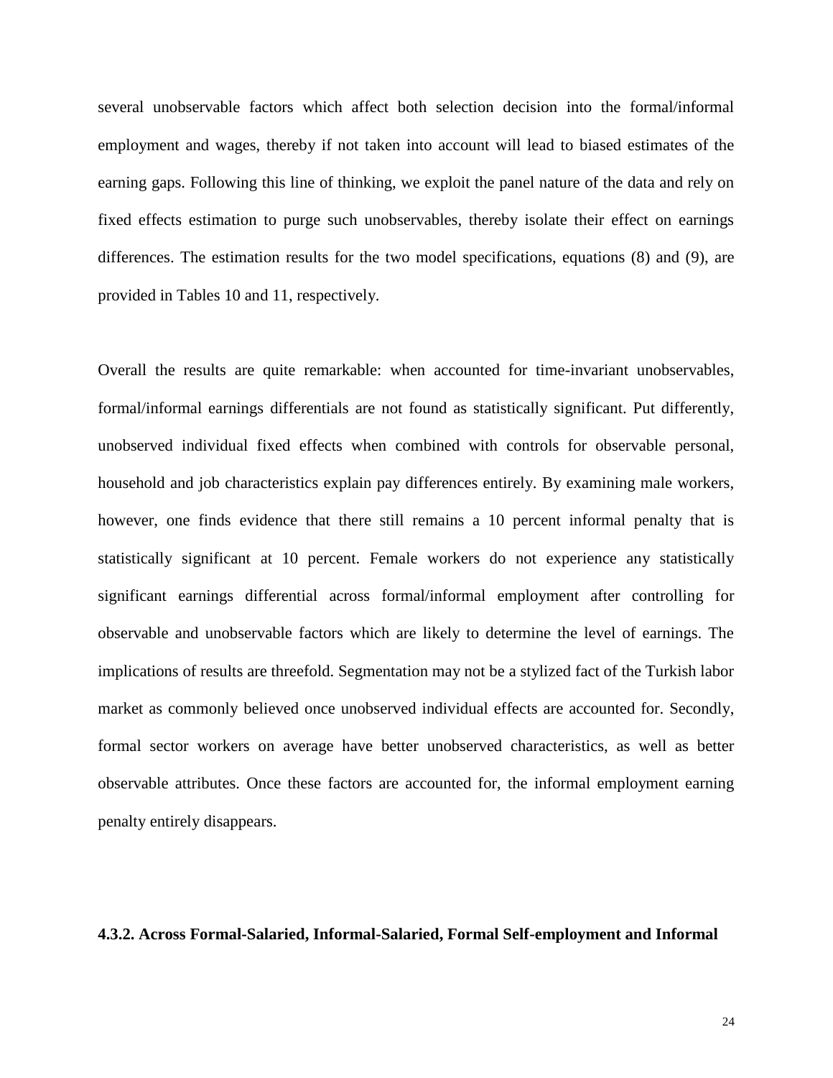several unobservable factors which affect both selection decision into the formal/informal employment and wages, thereby if not taken into account will lead to biased estimates of the earning gaps. Following this line of thinking, we exploit the panel nature of the data and rely on fixed effects estimation to purge such unobservables, thereby isolate their effect on earnings differences. The estimation results for the two model specifications, equations (8) and (9), are provided in Tables 10 and 11, respectively.

Overall the results are quite remarkable: when accounted for time-invariant unobservables, formal/informal earnings differentials are not found as statistically significant. Put differently, unobserved individual fixed effects when combined with controls for observable personal, household and job characteristics explain pay differences entirely. By examining male workers, however, one finds evidence that there still remains a 10 percent informal penalty that is statistically significant at 10 percent. Female workers do not experience any statistically significant earnings differential across formal/informal employment after controlling for observable and unobservable factors which are likely to determine the level of earnings. The implications of results are threefold. Segmentation may not be a stylized fact of the Turkish labor market as commonly believed once unobserved individual effects are accounted for. Secondly, formal sector workers on average have better unobserved characteristics, as well as better observable attributes. Once these factors are accounted for, the informal employment earning penalty entirely disappears.

#### **4.3.2. Across Formal-Salaried, Informal-Salaried, Formal Self-employment and Informal**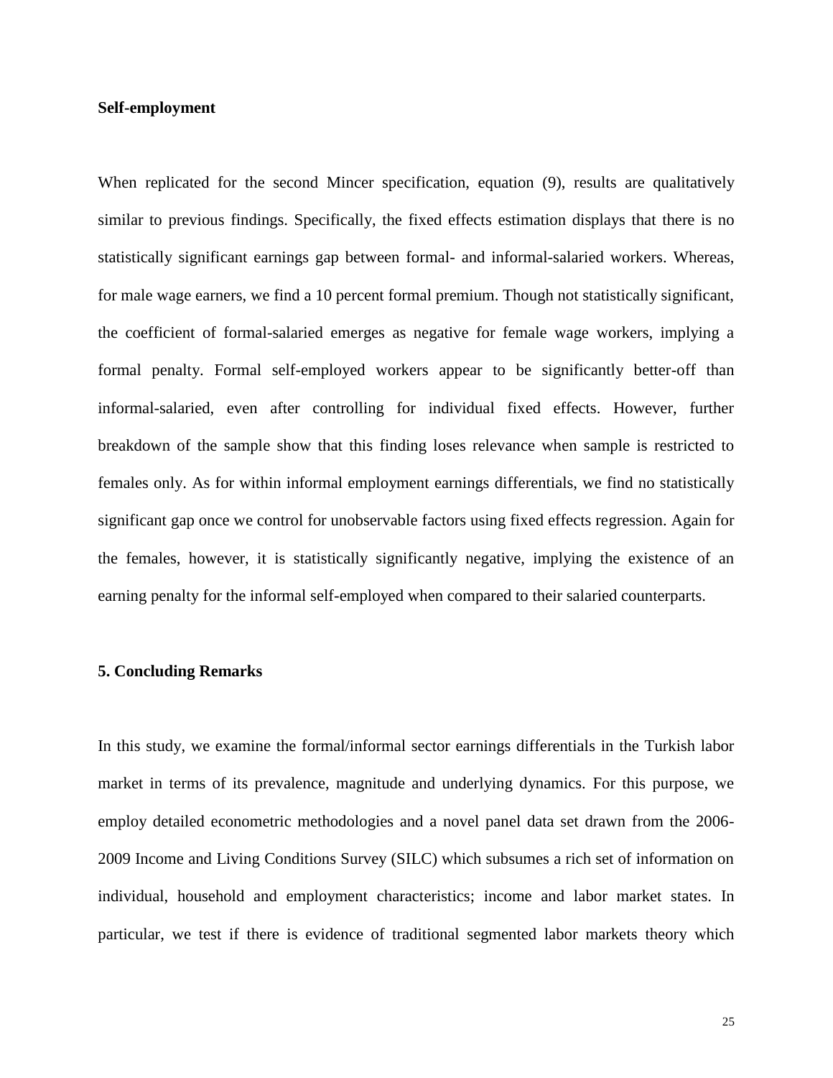#### **Self-employment**

When replicated for the second Mincer specification, equation (9), results are qualitatively similar to previous findings. Specifically, the fixed effects estimation displays that there is no statistically significant earnings gap between formal- and informal-salaried workers. Whereas, for male wage earners, we find a 10 percent formal premium. Though not statistically significant, the coefficient of formal-salaried emerges as negative for female wage workers, implying a formal penalty. Formal self-employed workers appear to be significantly better-off than informal-salaried, even after controlling for individual fixed effects. However, further breakdown of the sample show that this finding loses relevance when sample is restricted to females only. As for within informal employment earnings differentials, we find no statistically significant gap once we control for unobservable factors using fixed effects regression. Again for the females, however, it is statistically significantly negative, implying the existence of an earning penalty for the informal self-employed when compared to their salaried counterparts.

#### **5. Concluding Remarks**

In this study, we examine the formal/informal sector earnings differentials in the Turkish labor market in terms of its prevalence, magnitude and underlying dynamics. For this purpose, we employ detailed econometric methodologies and a novel panel data set drawn from the 2006- 2009 Income and Living Conditions Survey (SILC) which subsumes a rich set of information on individual, household and employment characteristics; income and labor market states. In particular, we test if there is evidence of traditional segmented labor markets theory which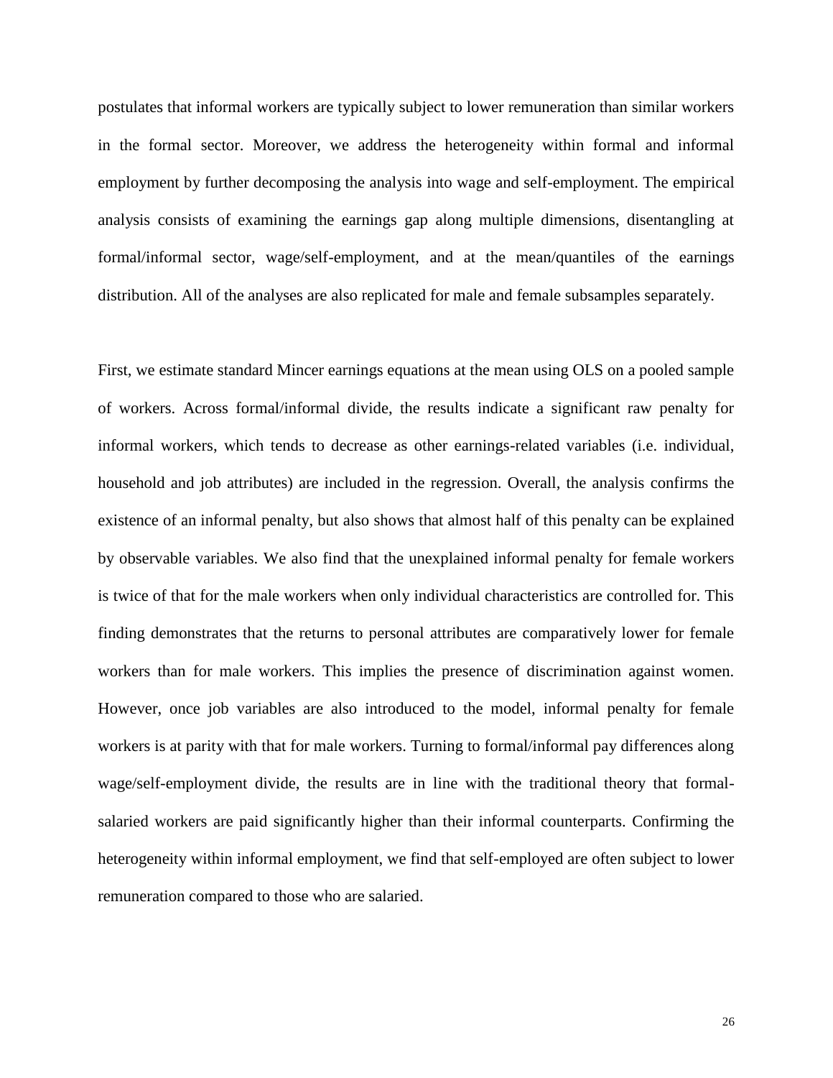postulates that informal workers are typically subject to lower remuneration than similar workers in the formal sector. Moreover, we address the heterogeneity within formal and informal employment by further decomposing the analysis into wage and self-employment. The empirical analysis consists of examining the earnings gap along multiple dimensions, disentangling at formal/informal sector, wage/self-employment, and at the mean/quantiles of the earnings distribution. All of the analyses are also replicated for male and female subsamples separately.

First, we estimate standard Mincer earnings equations at the mean using OLS on a pooled sample of workers. Across formal/informal divide, the results indicate a significant raw penalty for informal workers, which tends to decrease as other earnings-related variables (i.e. individual, household and job attributes) are included in the regression. Overall, the analysis confirms the existence of an informal penalty, but also shows that almost half of this penalty can be explained by observable variables. We also find that the unexplained informal penalty for female workers is twice of that for the male workers when only individual characteristics are controlled for. This finding demonstrates that the returns to personal attributes are comparatively lower for female workers than for male workers. This implies the presence of discrimination against women. However, once job variables are also introduced to the model, informal penalty for female workers is at parity with that for male workers. Turning to formal/informal pay differences along wage/self-employment divide, the results are in line with the traditional theory that formalsalaried workers are paid significantly higher than their informal counterparts. Confirming the heterogeneity within informal employment, we find that self-employed are often subject to lower remuneration compared to those who are salaried.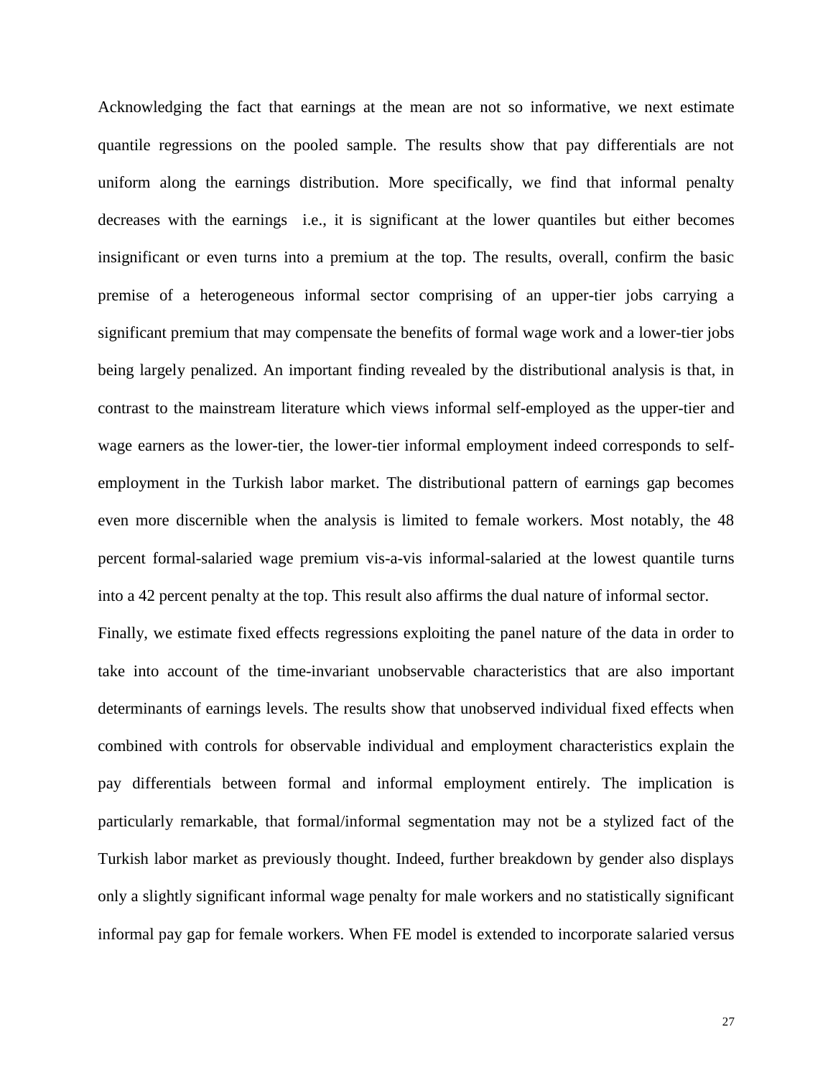Acknowledging the fact that earnings at the mean are not so informative, we next estimate quantile regressions on the pooled sample. The results show that pay differentials are not uniform along the earnings distribution. More specifically, we find that informal penalty decreases with the earnings i.e., it is significant at the lower quantiles but either becomes insignificant or even turns into a premium at the top. The results, overall, confirm the basic premise of a heterogeneous informal sector comprising of an upper-tier jobs carrying a significant premium that may compensate the benefits of formal wage work and a lower-tier jobs being largely penalized. An important finding revealed by the distributional analysis is that, in contrast to the mainstream literature which views informal self-employed as the upper-tier and wage earners as the lower-tier, the lower-tier informal employment indeed corresponds to selfemployment in the Turkish labor market. The distributional pattern of earnings gap becomes even more discernible when the analysis is limited to female workers. Most notably, the 48 percent formal-salaried wage premium vis-a-vis informal-salaried at the lowest quantile turns into a 42 percent penalty at the top. This result also affirms the dual nature of informal sector.

Finally, we estimate fixed effects regressions exploiting the panel nature of the data in order to take into account of the time-invariant unobservable characteristics that are also important determinants of earnings levels. The results show that unobserved individual fixed effects when combined with controls for observable individual and employment characteristics explain the pay differentials between formal and informal employment entirely. The implication is particularly remarkable, that formal/informal segmentation may not be a stylized fact of the Turkish labor market as previously thought. Indeed, further breakdown by gender also displays only a slightly significant informal wage penalty for male workers and no statistically significant informal pay gap for female workers. When FE model is extended to incorporate salaried versus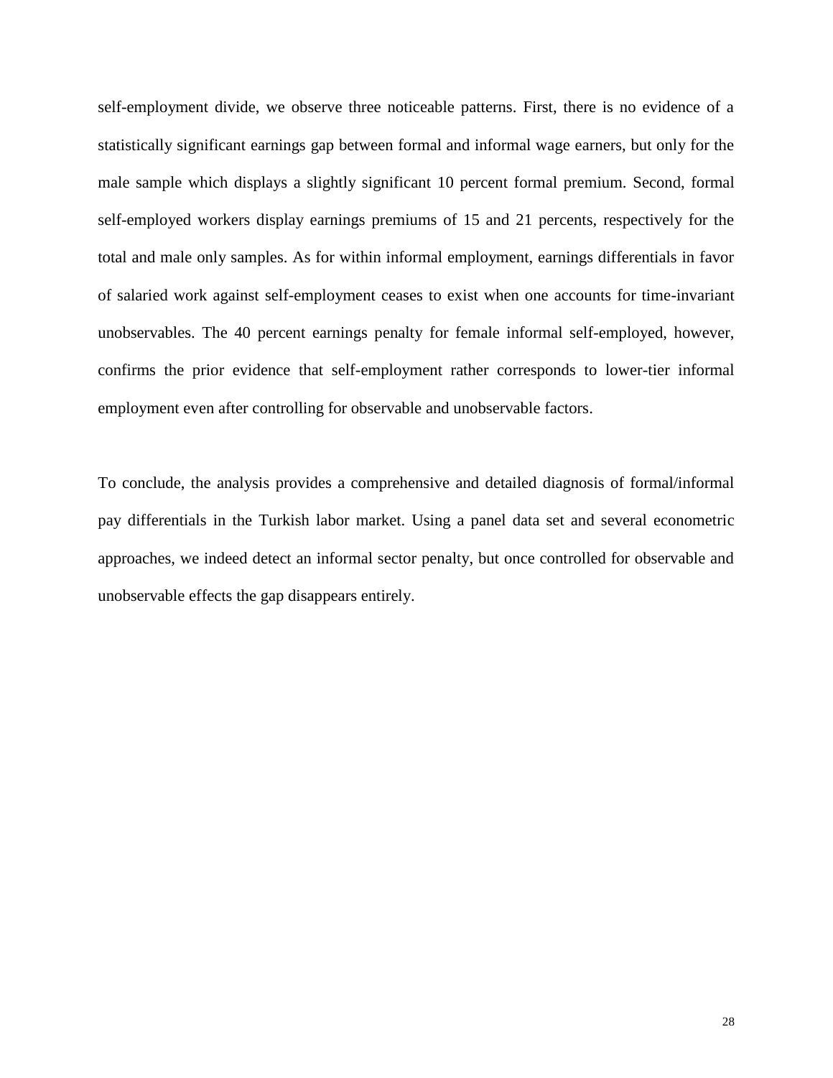self-employment divide, we observe three noticeable patterns. First, there is no evidence of a statistically significant earnings gap between formal and informal wage earners, but only for the male sample which displays a slightly significant 10 percent formal premium. Second, formal self-employed workers display earnings premiums of 15 and 21 percents, respectively for the total and male only samples. As for within informal employment, earnings differentials in favor of salaried work against self-employment ceases to exist when one accounts for time-invariant unobservables. The 40 percent earnings penalty for female informal self-employed, however, confirms the prior evidence that self-employment rather corresponds to lower-tier informal employment even after controlling for observable and unobservable factors.

To conclude, the analysis provides a comprehensive and detailed diagnosis of formal/informal pay differentials in the Turkish labor market. Using a panel data set and several econometric approaches, we indeed detect an informal sector penalty, but once controlled for observable and unobservable effects the gap disappears entirely.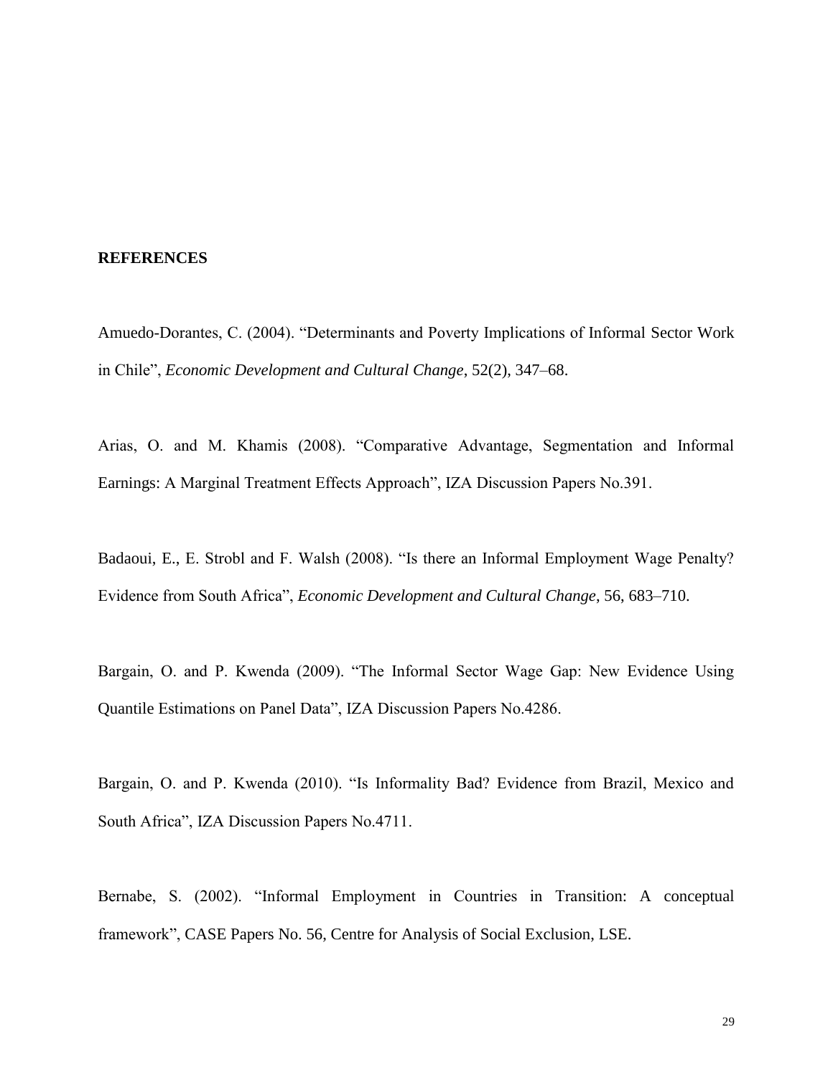#### **REFERENCES**

Amuedo-Dorantes, C. (2004). "Determinants and Poverty Implications of Informal Sector Work in Chile", *Economic Development and Cultural Change*, 52(2), 347–68.

Arias, O. and M. Khamis (2008). "Comparative Advantage, Segmentation and Informal Earnings: A Marginal Treatment Effects Approach", IZA Discussion Papers No.391.

Badaoui, E., E. Strobl and F. Walsh (2008). "Is there an Informal Employment Wage Penalty? Evidence from South Africa", *Economic Development and Cultural Change*, 56, 683–710.

Bargain, O. and P. Kwenda (2009). "The Informal Sector Wage Gap: New Evidence Using Quantile Estimations on Panel Data", IZA Discussion Papers No.4286.

Bargain, O. and P. Kwenda (2010). "Is Informality Bad? Evidence from Brazil, Mexico and South Africa", IZA Discussion Papers No.4711.

Bernabe, S. (2002). "Informal Employment in Countries in Transition: A conceptual framework", CASE Papers No. 56, Centre for Analysis of Social Exclusion, LSE.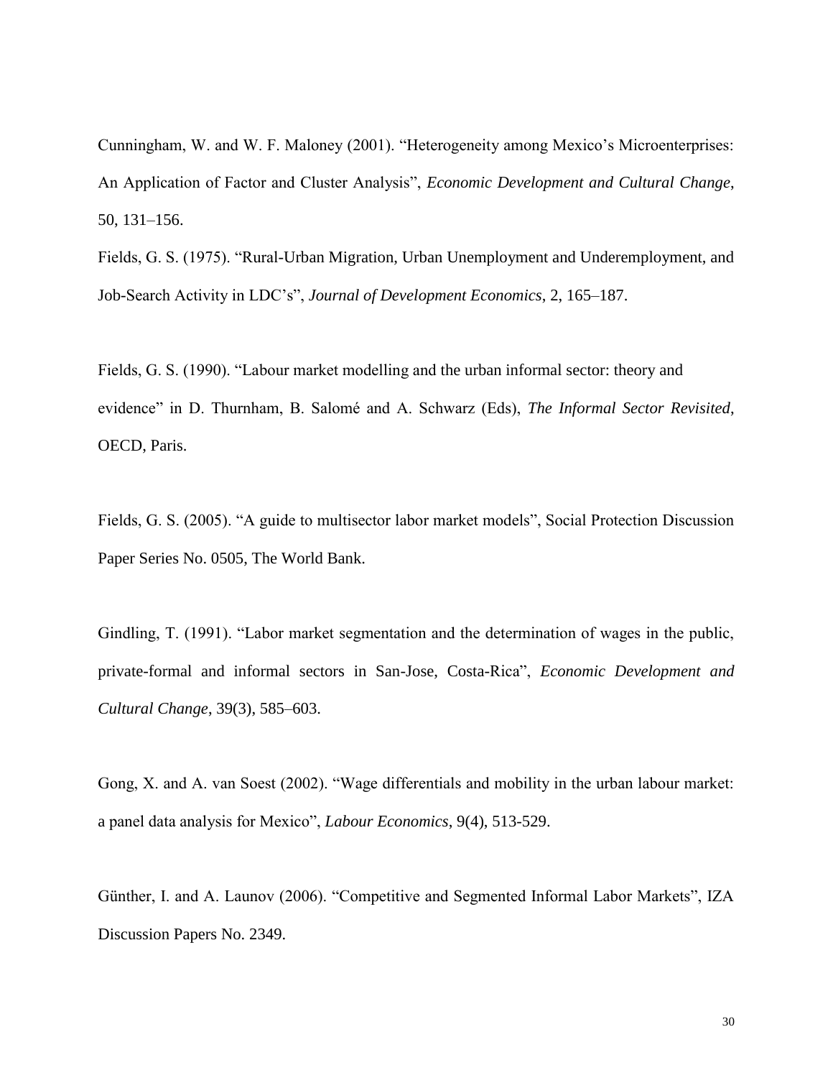Cunningham, W. and W. F. Maloney (2001). "Heterogeneity among Mexico's Microenterprises: An Application of Factor and Cluster Analysis", *Economic Development and Cultural Change*, 50, 131–156.

Fields, G. S. (1975). "Rural-Urban Migration, Urban Unemployment and Underemployment, and Job-Search Activity in LDC's", *Journal of Development Economics*, 2, 165–187.

Fields, G. S. (1990). "Labour market modelling and the urban informal sector: theory and evidence" in D. Thurnham, B. Salomé and A. Schwarz (Eds), *The Informal Sector Revisited*, OECD, Paris.

Fields, G. S. (2005). "A guide to multisector labor market models", Social Protection Discussion Paper Series No. 0505, The World Bank.

Gindling, T. (1991). "Labor market segmentation and the determination of wages in the public, private-formal and informal sectors in San-Jose, Costa-Rica", *Economic Development and Cultural Change*, 39(3), 585–603.

Gong, X. and A. van Soest (2002). "Wage differentials and mobility in the urban labour market: a panel data analysis for Mexico", *Labour Economics*, 9(4), 513-529.

Günther, I. and A. Launov (2006). "Competitive and Segmented Informal Labor Markets", IZA Discussion Papers No. 2349.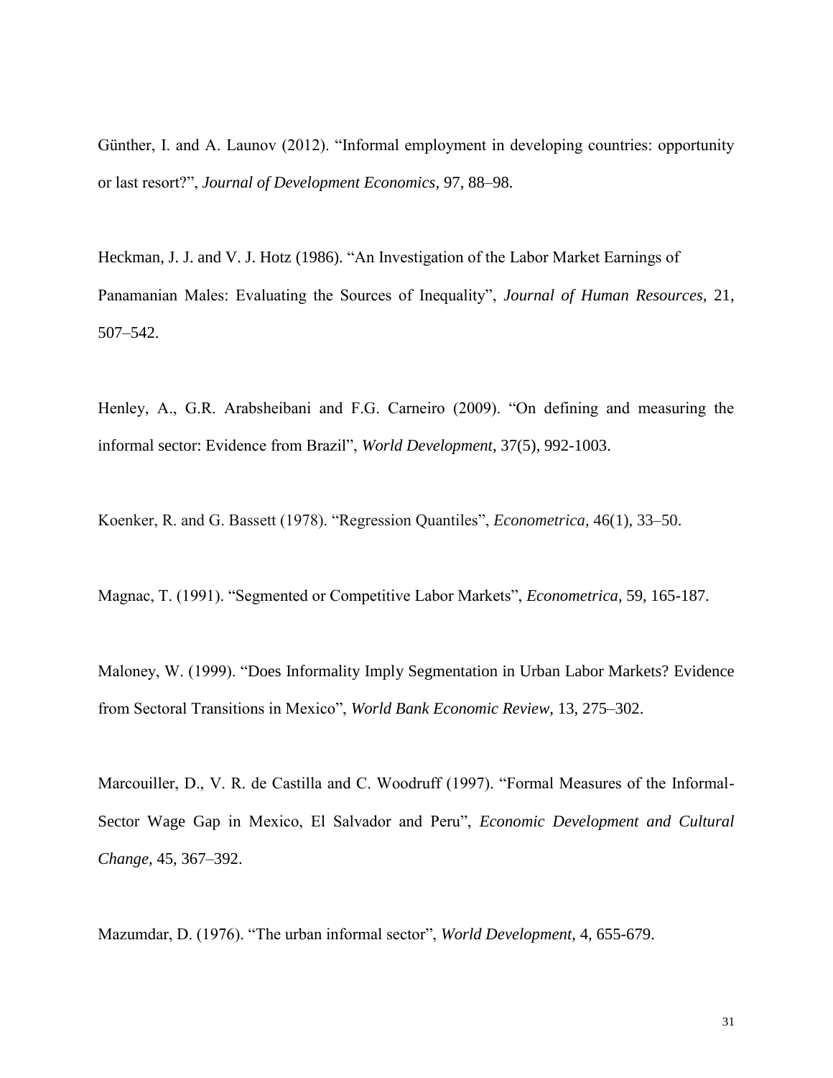Günther, I. and A. Launov (2012). "Informal employment in developing countries: opportunity or last resort?", *Journal of Development Economics,* 97, 88–98.

Heckman, J. J. and V. J. Hotz (1986). "An Investigation of the Labor Market Earnings of Panamanian Males: Evaluating the Sources of Inequality", *Journal of Human Resources,* 21, 507–542.

Henley, A., G.R. Arabsheibani and F.G. Carneiro (2009). "On defining and measuring the informal sector: Evidence from Brazil", *World Development*, 37(5), 992-1003.

Koenker, R. and G. Bassett (1978). "Regression Quantiles", *Econometrica*, 46(1), 33–50.

Magnac, T. (1991). "Segmented or Competitive Labor Markets", *Econometrica*, 59, 165-187.

Maloney, W. (1999). "Does Informality Imply Segmentation in Urban Labor Markets? Evidence from Sectoral Transitions in Mexico", *World Bank Economic Review,* 13, 275–302.

Marcouiller, D., V. R. de Castilla and C. Woodruff (1997). "Formal Measures of the Informal-Sector Wage Gap in Mexico, El Salvador and Peru", *Economic Development and Cultural Change,* 45, 367–392.

Mazumdar, D. (1976). "The urban informal sector", *World Development*, 4, 655-679.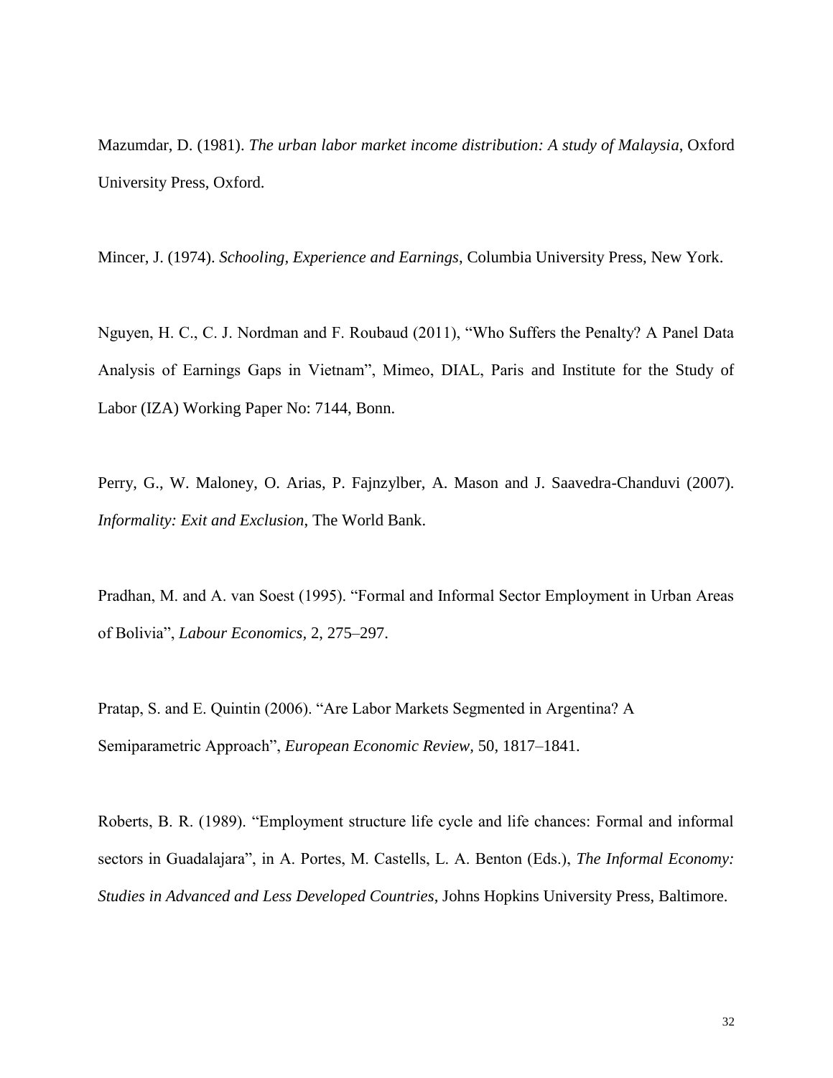Mazumdar, D. (1981). *The urban labor market income distribution: A study of Malaysia*, Oxford University Press, Oxford.

Mincer, J. (1974). *Schooling, Experience and Earnings*, Columbia University Press, New York.

Nguyen, H. C., C. J. Nordman and F. Roubaud (2011), "Who Suffers the Penalty? A Panel Data Analysis of Earnings Gaps in Vietnam", Mimeo, DIAL, Paris and Institute for the Study of Labor (IZA) Working Paper No: 7144, Bonn.

Perry, G., W. Maloney, O. Arias, P. Fajnzylber, A. Mason and J. Saavedra-Chanduvi (2007). *Informality: Exit and Exclusion*, The World Bank.

Pradhan, M. and A. van Soest (1995). "Formal and Informal Sector Employment in Urban Areas of Bolivia", *Labour Economics,* 2, 275–297.

Pratap, S. and E. Quintin (2006). "Are Labor Markets Segmented in Argentina? A Semiparametric Approach", *European Economic Review,* 50, 1817–1841.

Roberts, B. R. (1989). "Employment structure life cycle and life chances: Formal and informal sectors in Guadalajara", in A. Portes, M. Castells, L. A. Benton (Eds.), *The Informal Economy: Studies in Advanced and Less Developed Countries*, Johns Hopkins University Press, Baltimore.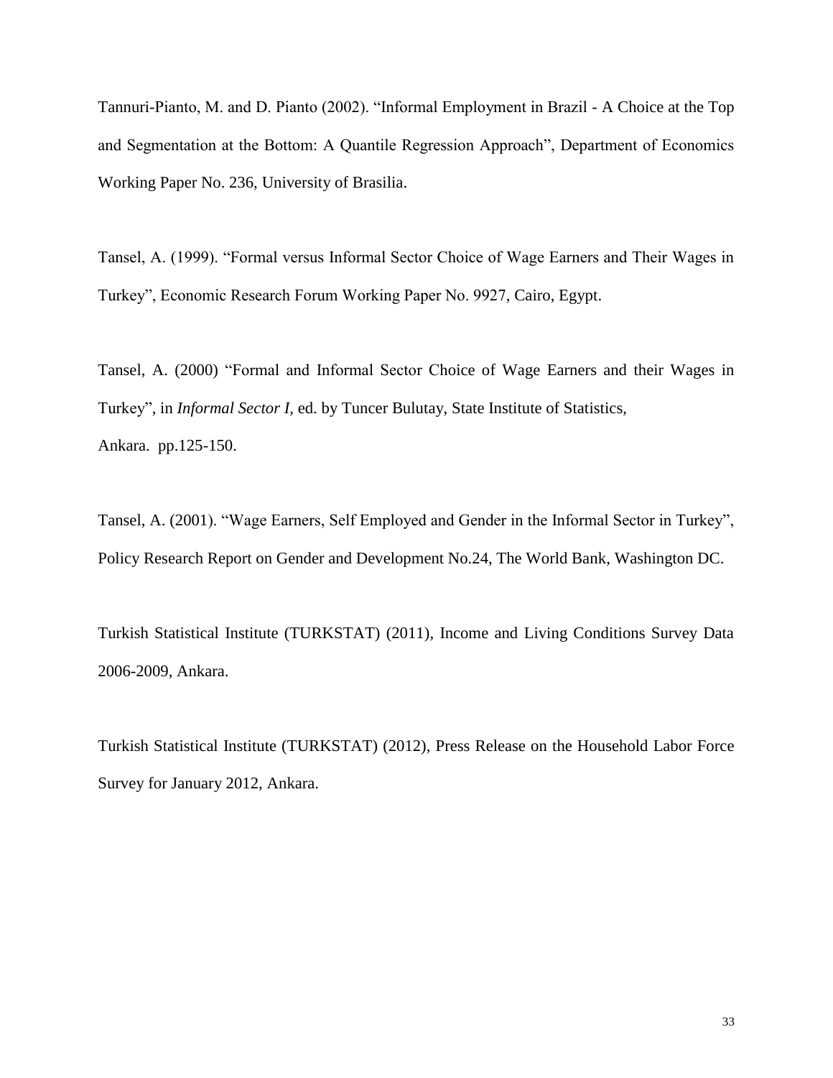Tannuri-Pianto, M. and D. Pianto (2002). "Informal Employment in Brazil - A Choice at the Top and Segmentation at the Bottom: A Quantile Regression Approach", Department of Economics Working Paper No. 236, University of Brasilia.

Tansel, A. (1999). "Formal versus Informal Sector Choice of Wage Earners and Their Wages in Turkey", Economic Research Forum Working Paper No. 9927, Cairo, Egypt.

Tansel, A. (2000) "Formal and Informal Sector Choice of Wage Earners and their Wages in Turkey", in *Informal Sector I,* ed. by Tuncer Bulutay, State Institute of Statistics, Ankara. pp.125-150.

Tansel, A. (2001). "Wage Earners, Self Employed and Gender in the Informal Sector in Turkey", Policy Research Report on Gender and Development No.24, The World Bank, Washington DC.

Turkish Statistical Institute (TURKSTAT) (2011), Income and Living Conditions Survey Data 2006-2009, Ankara.

Turkish Statistical Institute (TURKSTAT) (2012), Press Release on the Household Labor Force Survey for January 2012, Ankara.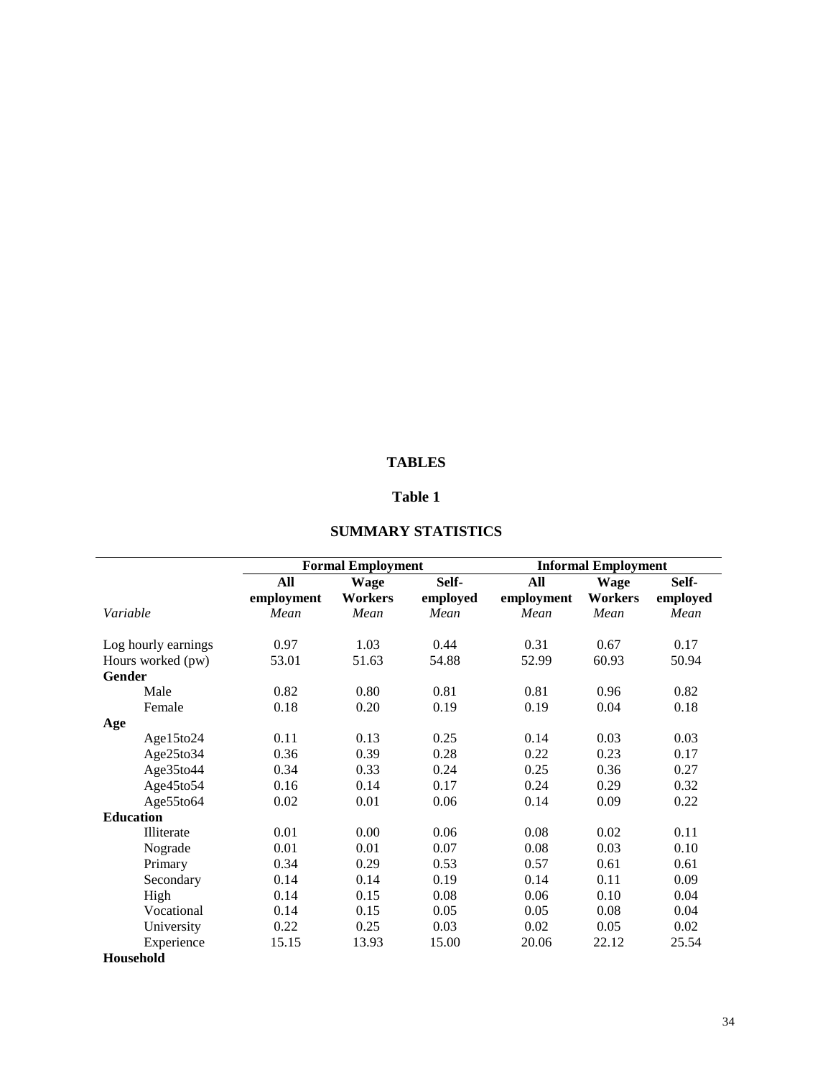#### **TABLES**

## **Table 1**

|                     |            | <b>Formal Employment</b> |          | <b>Informal Employment</b> |                |          |  |
|---------------------|------------|--------------------------|----------|----------------------------|----------------|----------|--|
|                     | All        | <b>Wage</b>              | Self-    | All                        | <b>Wage</b>    | Self-    |  |
|                     | employment | <b>Workers</b>           | employed | employment                 | <b>Workers</b> | employed |  |
| Variable            | Mean       | Mean                     | Mean     | Mean                       | Mean           | Mean     |  |
| Log hourly earnings | 0.97       | 1.03                     | 0.44     | 0.31                       | 0.67           | 0.17     |  |
| Hours worked (pw)   | 53.01      | 51.63                    | 54.88    | 52.99                      | 60.93          | 50.94    |  |
| <b>Gender</b>       |            |                          |          |                            |                |          |  |
| Male                | 0.82       | 0.80                     | 0.81     | 0.81                       | 0.96           | 0.82     |  |
| Female              | 0.18       | 0.20                     | 0.19     | 0.19                       | 0.04           | 0.18     |  |
| Age                 |            |                          |          |                            |                |          |  |
| Age15to24           | 0.11       | 0.13                     | 0.25     | 0.14                       | 0.03           | 0.03     |  |
| Age25to34           | 0.36       | 0.39                     | 0.28     | 0.22                       | 0.23           | 0.17     |  |
| Age35to44           | 0.34       | 0.33                     | 0.24     | 0.25                       | 0.36           | 0.27     |  |
| Age45to54           | 0.16       | 0.14                     | 0.17     | 0.24                       | 0.29           | 0.32     |  |
| Age55to64           | 0.02       | 0.01                     | 0.06     | 0.14                       | 0.09           | 0.22     |  |
| <b>Education</b>    |            |                          |          |                            |                |          |  |
| <b>Illiterate</b>   | 0.01       | 0.00                     | 0.06     | 0.08                       | 0.02           | 0.11     |  |
| Nograde             | 0.01       | 0.01                     | 0.07     | 0.08                       | 0.03           | 0.10     |  |
| Primary             | 0.34       | 0.29                     | 0.53     | 0.57                       | 0.61           | 0.61     |  |
| Secondary           | 0.14       | 0.14                     | 0.19     | 0.14                       | 0.11           | 0.09     |  |
| High                | 0.14       | 0.15                     | 0.08     | 0.06                       | 0.10           | 0.04     |  |
| Vocational          | 0.14       | 0.15                     | 0.05     | 0.05                       | 0.08           | 0.04     |  |
| University          | 0.22       | 0.25                     | 0.03     | 0.02                       | 0.05           | 0.02     |  |
| Experience          | 15.15      | 13.93                    | 15.00    | 20.06                      | 22.12          | 25.54    |  |
| <b>Household</b>    |            |                          |          |                            |                |          |  |

## **SUMMARY STATISTICS**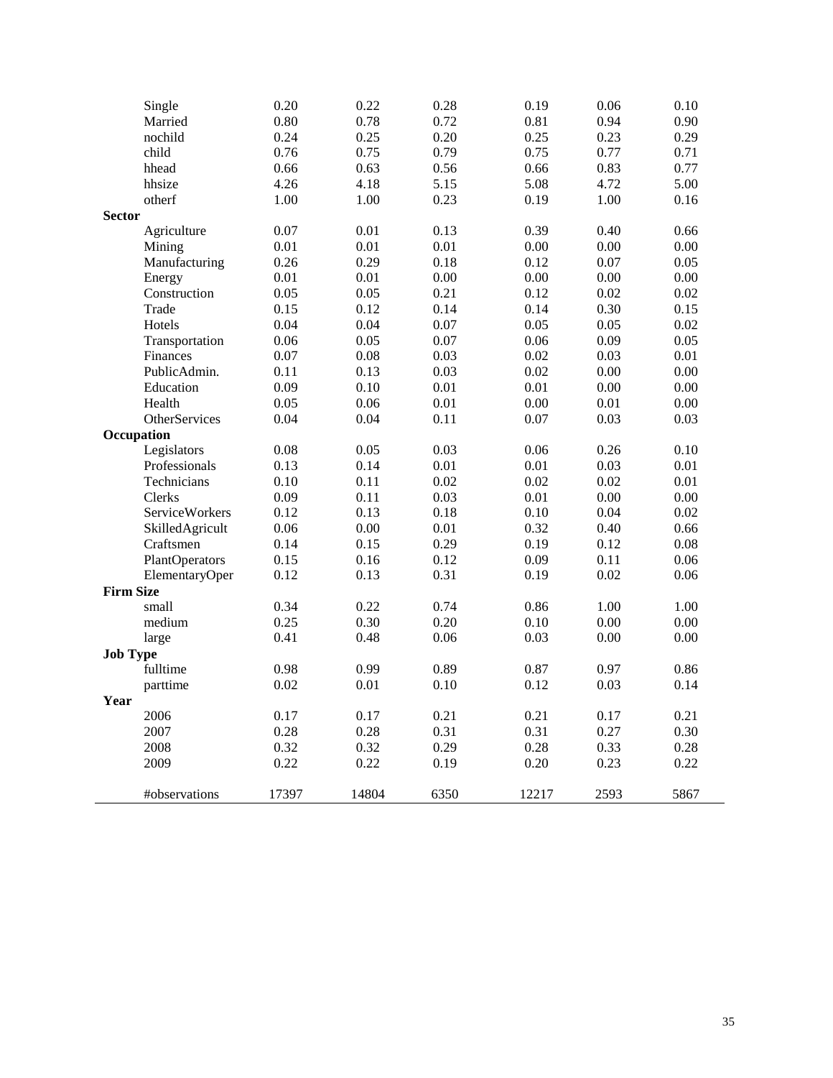| Single           | 0.20  | 0.22     | 0.28     | 0.19  | 0.06     | 0.10     |
|------------------|-------|----------|----------|-------|----------|----------|
| Married          | 0.80  | 0.78     | 0.72     | 0.81  | 0.94     | 0.90     |
| nochild          | 0.24  | 0.25     | 0.20     | 0.25  | 0.23     | 0.29     |
| child            | 0.76  | 0.75     | 0.79     | 0.75  | 0.77     | 0.71     |
| hhead            | 0.66  | 0.63     | 0.56     | 0.66  | 0.83     | 0.77     |
| hhsize           | 4.26  | 4.18     | 5.15     | 5.08  | 4.72     | 5.00     |
| otherf           | 1.00  | 1.00     | 0.23     | 0.19  | 1.00     | 0.16     |
| <b>Sector</b>    |       |          |          |       |          |          |
| Agriculture      | 0.07  | 0.01     | 0.13     | 0.39  | 0.40     | 0.66     |
| Mining           | 0.01  | 0.01     | 0.01     | 0.00  | 0.00     | 0.00     |
| Manufacturing    | 0.26  | 0.29     | 0.18     | 0.12  | 0.07     | 0.05     |
| Energy           | 0.01  | 0.01     | 0.00     | 0.00  | $0.00\,$ | $0.00\,$ |
| Construction     | 0.05  | 0.05     | 0.21     | 0.12  | 0.02     | 0.02     |
| Trade            | 0.15  | 0.12     | 0.14     | 0.14  | 0.30     | 0.15     |
| Hotels           | 0.04  | 0.04     | 0.07     | 0.05  | 0.05     | 0.02     |
| Transportation   | 0.06  | 0.05     | 0.07     | 0.06  | 0.09     | 0.05     |
| Finances         | 0.07  | 0.08     | 0.03     | 0.02  | 0.03     | $0.01\,$ |
| PublicAdmin.     | 0.11  | 0.13     | 0.03     | 0.02  | 0.00     | 0.00     |
| Education        | 0.09  | 0.10     | 0.01     | 0.01  | 0.00     | 0.00     |
| Health           | 0.05  | 0.06     | $0.01\,$ | 0.00  | 0.01     | 0.00     |
| OtherServices    | 0.04  | 0.04     | 0.11     | 0.07  | 0.03     | 0.03     |
| Occupation       |       |          |          |       |          |          |
| Legislators      | 0.08  | 0.05     | 0.03     | 0.06  | 0.26     | 0.10     |
| Professionals    | 0.13  | 0.14     | 0.01     | 0.01  | 0.03     | 0.01     |
| Technicians      | 0.10  | 0.11     | 0.02     | 0.02  | 0.02     | 0.01     |
| Clerks           | 0.09  | 0.11     | 0.03     | 0.01  | 0.00     | 0.00     |
| ServiceWorkers   | 0.12  | 0.13     | 0.18     | 0.10  | 0.04     | 0.02     |
| SkilledAgricult  | 0.06  | $0.00\,$ | 0.01     | 0.32  | 0.40     | 0.66     |
| Craftsmen        | 0.14  | 0.15     | 0.29     | 0.19  | 0.12     | $0.08\,$ |
| PlantOperators   | 0.15  | 0.16     | 0.12     | 0.09  | 0.11     | 0.06     |
| ElementaryOper   | 0.12  | 0.13     | 0.31     | 0.19  | 0.02     | 0.06     |
| <b>Firm Size</b> |       |          |          |       |          |          |
| small            | 0.34  | 0.22     | 0.74     | 0.86  | 1.00     | 1.00     |
| medium           | 0.25  | 0.30     | 0.20     | 0.10  | 0.00     | 0.00     |
| large            | 0.41  | 0.48     | 0.06     | 0.03  | 0.00     | $0.00\,$ |
| <b>Job Type</b>  |       |          |          |       |          |          |
| fulltime         | 0.98  | 0.99     | 0.89     | 0.87  | 0.97     | 0.86     |
| parttime         | 0.02  | 0.01     | 0.10     | 0.12  | 0.03     | 0.14     |
| Year             |       |          |          |       |          |          |
| 2006             | 0.17  | 0.17     | 0.21     | 0.21  | 0.17     | 0.21     |
| 2007             | 0.28  | 0.28     | 0.31     | 0.31  | 0.27     | 0.30     |
| 2008             | 0.32  | 0.32     | 0.29     | 0.28  | 0.33     | 0.28     |
| 2009             | 0.22  | 0.22     | 0.19     | 0.20  | 0.23     | 0.22     |
|                  |       |          |          |       |          | 5867     |
| #observations    | 17397 | 14804    | 6350     | 12217 | 2593     |          |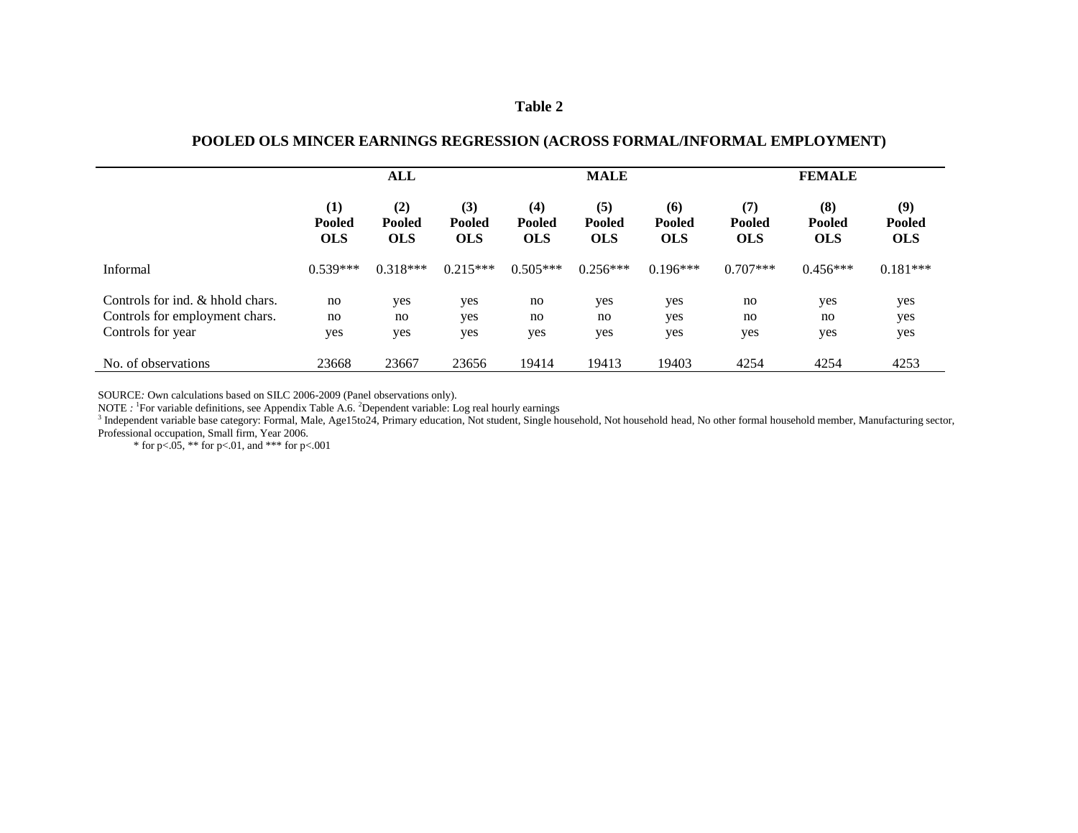### **POOLED OLS MINCER EARNINGS REGRESSION (ACROSS FORMAL/INFORMAL EMPLOYMENT)**

|                                                                                         | ALL                                |                                    |                                    | <b>MALE</b>                        |                                    |                                    | <b>FEMALE</b>               |                             |                             |
|-----------------------------------------------------------------------------------------|------------------------------------|------------------------------------|------------------------------------|------------------------------------|------------------------------------|------------------------------------|-----------------------------|-----------------------------|-----------------------------|
|                                                                                         | (1)<br><b>Pooled</b><br><b>OLS</b> | (2)<br><b>Pooled</b><br><b>OLS</b> | (3)<br><b>Pooled</b><br><b>OLS</b> | (4)<br><b>Pooled</b><br><b>OLS</b> | (5)<br><b>Pooled</b><br><b>OLS</b> | (6)<br><b>Pooled</b><br><b>OLS</b> | (7)<br>Pooled<br><b>OLS</b> | (8)<br>Pooled<br><b>OLS</b> | (9)<br>Pooled<br><b>OLS</b> |
| Informal                                                                                | $0.539***$                         | $0.318***$                         | $0.215***$                         | $0.505***$                         | $0.256***$                         | $0.196***$                         | $0.707***$                  | $0.456***$                  | $0.181***$                  |
| Controls for ind. & hhold chars.<br>Controls for employment chars.<br>Controls for year | no<br>no<br>yes                    | yes<br>no<br>yes                   | yes<br>yes<br>yes                  | no<br>no<br>yes                    | yes<br>no<br>yes                   | yes<br>yes<br>yes                  | no<br>no<br>yes             | yes<br>no<br>yes            | yes<br>yes<br>yes           |
| No. of observations                                                                     | 23668                              | 23667                              | 23656                              | 19414                              | 19413                              | 19403                              | 4254                        | 4254                        | 4253                        |

SOURCE*:* Own calculations based on SILC 2006-2009 (Panel observations only).

NOTE *:* <sup>1</sup> For variable definitions, see Appendix Table A.6. <sup>2</sup> Dependent variable: Log real hourly earnings

<sup>3</sup> Independent variable base category: Formal, Male, Age15to24, Primary education, Not student, Single household, Not household head, No other formal household member, Manufacturing sector, Professional occupation, Small firm, Year 2006.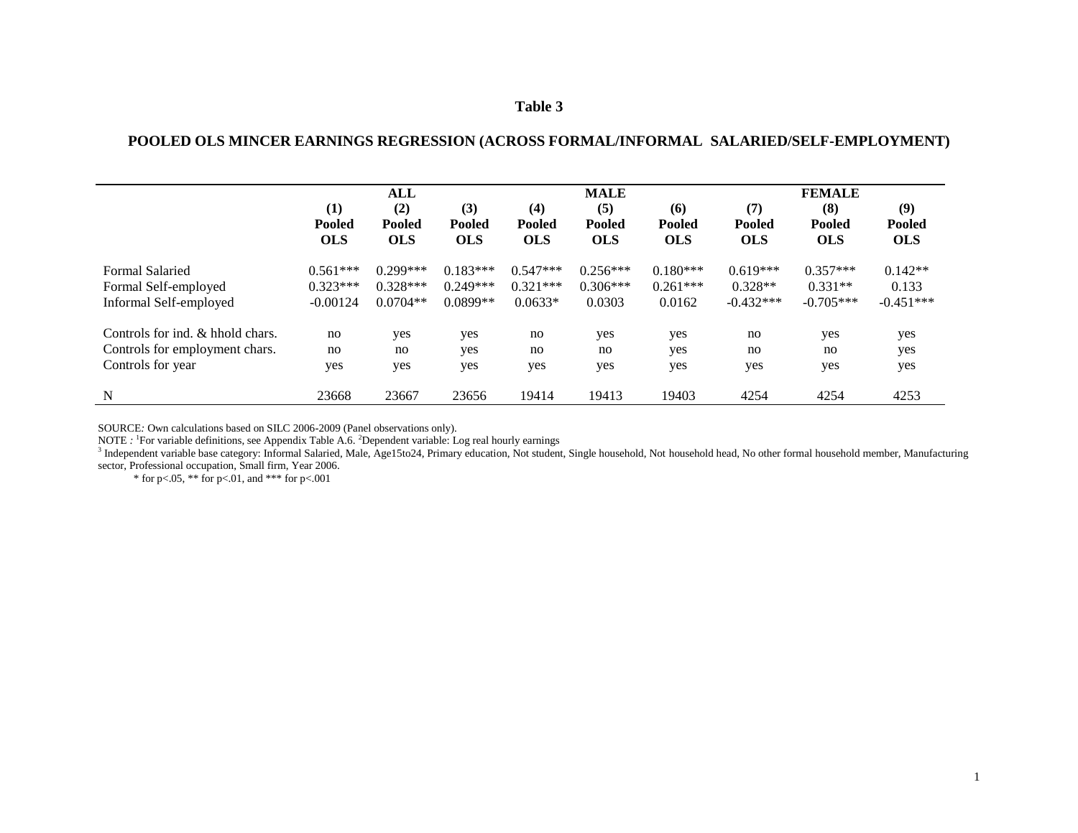#### **POOLED OLS MINCER EARNINGS REGRESSION (ACROSS FORMAL/INFORMAL SALARIED/SELF-EMPLOYMENT)**

|                                  | ALL                         |                             |                             |                             | <b>MALE</b>                 |                             |                             | <b>FEMALE</b>               |                             |  |
|----------------------------------|-----------------------------|-----------------------------|-----------------------------|-----------------------------|-----------------------------|-----------------------------|-----------------------------|-----------------------------|-----------------------------|--|
|                                  | (1)                         | (2)                         | (3)                         | (4)                         | (5)                         | (6)                         | (7)                         | (8)                         | (9)                         |  |
|                                  | <b>Pooled</b><br><b>OLS</b> | <b>Pooled</b><br><b>OLS</b> | <b>Pooled</b><br><b>OLS</b> | <b>Pooled</b><br><b>OLS</b> | <b>Pooled</b><br><b>OLS</b> | <b>Pooled</b><br><b>OLS</b> | <b>Pooled</b><br><b>OLS</b> | <b>Pooled</b><br><b>OLS</b> | <b>Pooled</b><br><b>OLS</b> |  |
| <b>Formal Salaried</b>           | $0.561***$                  | $0.299***$                  | $0.183***$                  | $0.547***$                  | $0.256***$                  | $0.180***$                  | $0.619***$                  | $0.357***$                  | $0.142**$                   |  |
| Formal Self-employed             | $0.323***$                  | $0.328***$                  | $0.249***$                  | $0.321***$                  | $0.306***$                  | $0.261***$                  | $0.328**$                   | $0.331**$                   | 0.133                       |  |
| Informal Self-employed           | $-0.00124$                  | $0.0704**$                  | $0.0899**$                  | $0.0633*$                   | 0.0303                      | 0.0162                      | $-0.432***$                 | $-0.705***$                 | $-0.451***$                 |  |
| Controls for ind. & hhold chars. | no                          | yes                         | yes                         | no                          | yes                         | yes                         | no                          | yes                         | yes                         |  |
| Controls for employment chars.   | no                          | no                          | yes                         | no                          | no                          | yes                         | no                          | no                          | yes                         |  |
| Controls for year                | yes                         | yes                         | yes                         | yes                         | yes                         | yes                         | yes                         | yes                         | yes                         |  |
| N                                | 23668                       | 23667                       | 23656                       | 19414                       | 19413                       | 19403                       | 4254                        | 4254                        | 4253                        |  |

SOURCE*:* Own calculations based on SILC 2006-2009 (Panel observations only).

NOTE : <sup>1</sup>For variable definitions, see Appendix Table A.6. <sup>2</sup>Dependent variable: Log real hourly earnings<br><sup>3</sup> Independent variable base category: Informal Salaried, Male, Age15to24, Primary education, Not student, Single sector, Professional occupation, Small firm, Year 2006.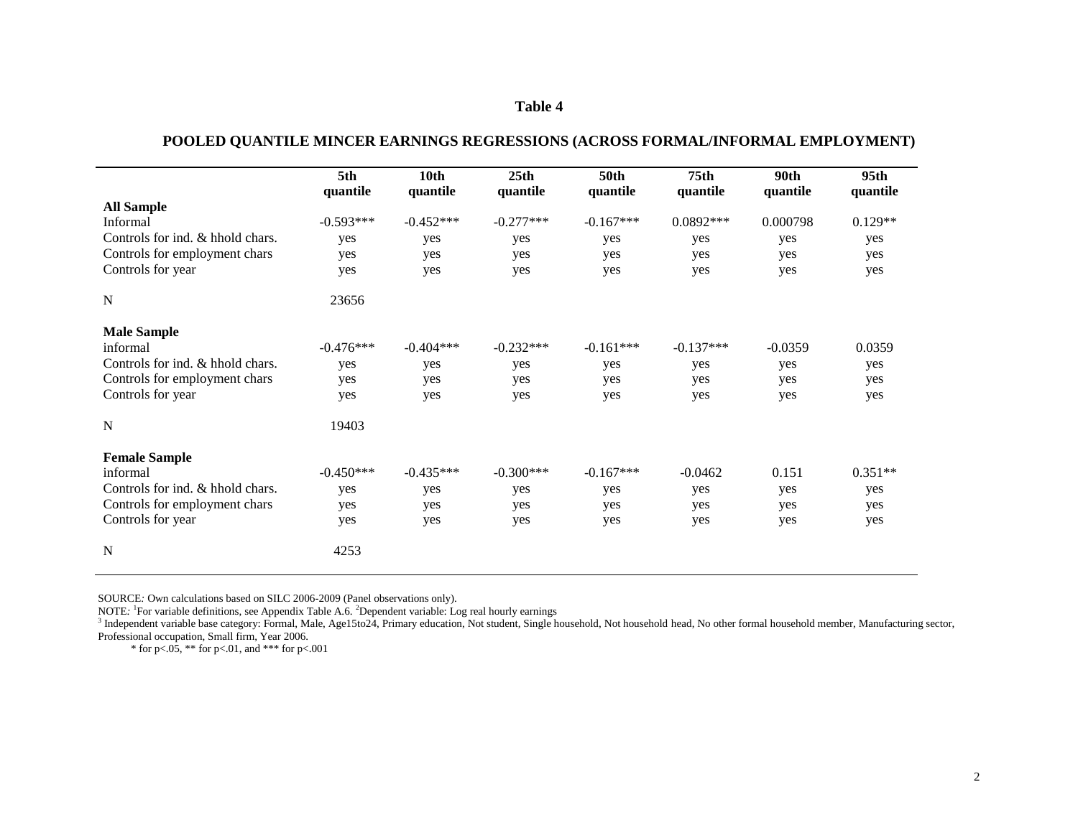| POOLED QUANTILE MINCER EARNINGS REGRESSIONS (ACROSS FORMAL/INFORMAL EMPLOYMENT) |
|---------------------------------------------------------------------------------|
|---------------------------------------------------------------------------------|

|                                  | 5th<br>quantile | 10th<br>quantile | 25 <sub>th</sub><br>quantile | <b>50th</b><br>quantile | 75 <sub>th</sub><br>quantile | 90th<br>quantile | 95 <sub>th</sub><br>quantile |
|----------------------------------|-----------------|------------------|------------------------------|-------------------------|------------------------------|------------------|------------------------------|
| <b>All Sample</b>                |                 |                  |                              |                         |                              |                  |                              |
| Informal                         | $-0.593***$     | $-0.452***$      | $-0.277***$                  | $-0.167***$             | $0.0892***$                  | 0.000798         | $0.129**$                    |
| Controls for ind. & hhold chars. | yes             | yes              | yes                          | yes                     | yes                          | yes              | yes                          |
| Controls for employment chars    | yes             | yes              | yes                          | yes                     | yes                          | yes              | yes                          |
| Controls for year                | yes             | yes              | yes                          | yes                     | yes                          | yes              | yes                          |
| N                                | 23656           |                  |                              |                         |                              |                  |                              |
| <b>Male Sample</b>               |                 |                  |                              |                         |                              |                  |                              |
| informal                         | $-0.476***$     | $-0.404***$      | $-0.232***$                  | $-0.161***$             | $-0.137***$                  | $-0.0359$        | 0.0359                       |
| Controls for ind. & hhold chars. | yes             | yes              | yes                          | yes                     | yes                          | yes              | yes                          |
| Controls for employment chars    | yes             | yes              | yes                          | yes                     | yes                          | yes              | yes                          |
| Controls for year                | yes             | yes              | yes                          | yes                     | yes                          | yes              | yes                          |
| N                                | 19403           |                  |                              |                         |                              |                  |                              |
| <b>Female Sample</b>             |                 |                  |                              |                         |                              |                  |                              |
| informal                         | $-0.450***$     | $-0.435***$      | $-0.300***$                  | $-0.167***$             | $-0.0462$                    | 0.151            | $0.351**$                    |
| Controls for ind. & hhold chars. | yes             | yes              | yes                          | yes                     | yes                          | yes              | yes                          |
| Controls for employment chars    | yes             | yes              | yes                          | yes                     | yes                          | yes              | yes                          |
| Controls for year                | yes             | yes              | yes                          | yes                     | yes                          | yes              | yes                          |
| N                                | 4253            |                  |                              |                         |                              |                  |                              |

SOURCE*:* Own calculations based on SILC 2006-2009 (Panel observations only).

NOTE<sup>*:* 1</sup> For variable definitions, see Appendix Table A.6. <sup>2</sup> Dependent variable: Log real hourly earnings

<sup>3</sup> Independent variable base category: Formal, Male, Age15to24, Primary education, Not student, Single household, Not household head, No other formal household member, Manufacturing sector, Professional occupation, Small firm, Year 2006.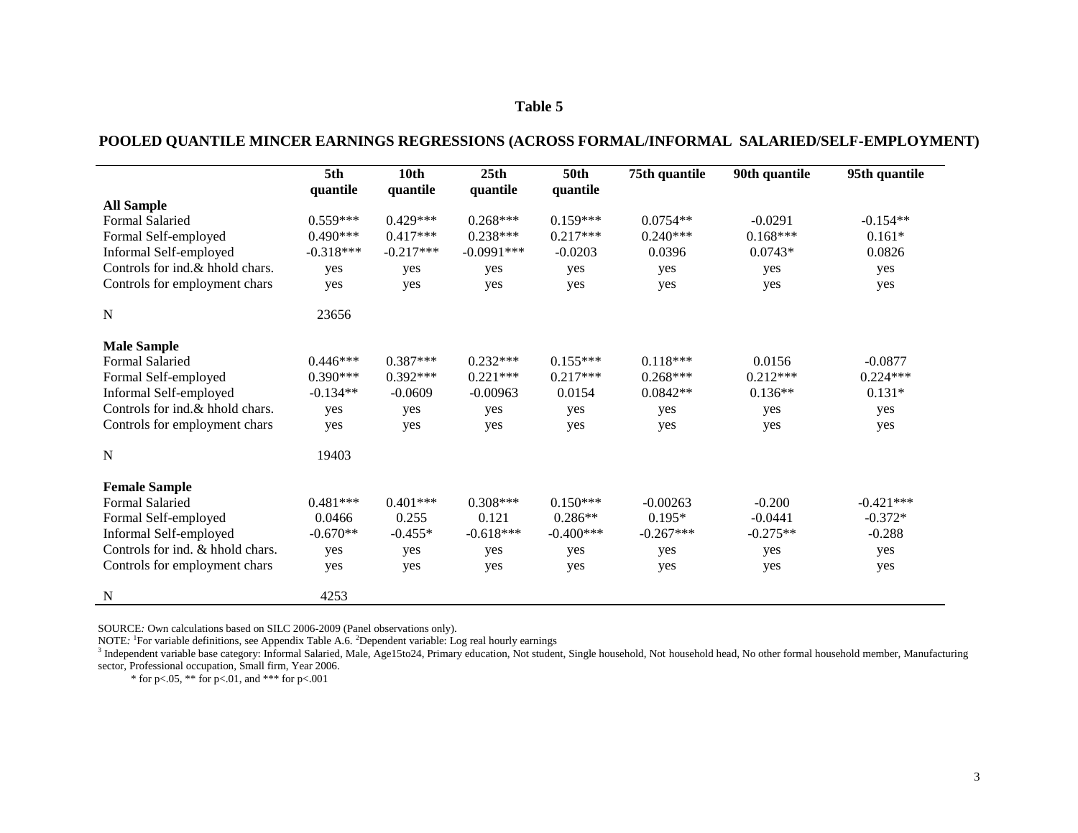## **POOLED QUANTILE MINCER EARNINGS REGRESSIONS (ACROSS FORMAL/INFORMAL SALARIED/SELF-EMPLOYMENT)**

|                                  | 5th         | 10th        | 25th         | <b>50th</b> | 75th quantile | 90th quantile | 95th quantile |
|----------------------------------|-------------|-------------|--------------|-------------|---------------|---------------|---------------|
| <b>All Sample</b>                | quantile    | quantile    | quantile     | quantile    |               |               |               |
| <b>Formal Salaried</b>           | $0.559***$  | $0.429***$  | $0.268***$   | $0.159***$  | $0.0754**$    | $-0.0291$     | $-0.154**$    |
| Formal Self-employed             | $0.490***$  | $0.417***$  | $0.238***$   | $0.217***$  | $0.240***$    | $0.168***$    | $0.161*$      |
| Informal Self-employed           | $-0.318***$ | $-0.217***$ | $-0.0991***$ | $-0.0203$   | 0.0396        | $0.0743*$     | 0.0826        |
| Controls for ind.& hhold chars.  | yes         | yes         | yes          | yes         | yes           | yes           | yes           |
| Controls for employment chars    | yes         | yes         | yes          | yes         | yes           | yes           | yes           |
| $\mathbf N$                      | 23656       |             |              |             |               |               |               |
| <b>Male Sample</b>               |             |             |              |             |               |               |               |
| Formal Salaried                  | $0.446***$  | $0.387***$  | $0.232***$   | $0.155***$  | $0.118***$    | 0.0156        | $-0.0877$     |
| Formal Self-employed             | $0.390***$  | $0.392***$  | $0.221***$   | $0.217***$  | $0.268***$    | $0.212***$    | $0.224***$    |
| Informal Self-employed           | $-0.134**$  | $-0.0609$   | $-0.00963$   | 0.0154      | $0.0842**$    | $0.136**$     | $0.131*$      |
| Controls for ind.& hhold chars.  | yes         | yes         | yes          | yes         | yes           | yes           | yes           |
| Controls for employment chars    | yes         | yes         | yes          | yes         | yes           | yes           | yes           |
| $\mathbf N$                      | 19403       |             |              |             |               |               |               |
| <b>Female Sample</b>             |             |             |              |             |               |               |               |
| <b>Formal Salaried</b>           | $0.481***$  | $0.401***$  | $0.308***$   | $0.150***$  | $-0.00263$    | $-0.200$      | $-0.421***$   |
| Formal Self-employed             | 0.0466      | 0.255       | 0.121        | $0.286**$   | $0.195*$      | $-0.0441$     | $-0.372*$     |
| Informal Self-employed           | $-0.670**$  | $-0.455*$   | $-0.618***$  | $-0.400***$ | $-0.267***$   | $-0.275**$    | $-0.288$      |
| Controls for ind. & hhold chars. | yes         | yes         | yes          | yes         | yes           | yes           | yes           |
| Controls for employment chars    | yes         | yes         | yes          | yes         | yes           | yes           | yes           |
| $\mathbf N$                      | 4253        |             |              |             |               |               |               |

SOURCE*:* Own calculations based on SILC 2006-2009 (Panel observations only).

NOTE<sup>*:* 1</sup> For variable definitions, see Appendix Table A.6. <sup>2</sup> Dependent variable: Log real hourly earnings

<sup>3</sup> Independent variable base category: Informal Salaried, Male, Age15to24, Primary education, Not student, Single household, Not household head, No other formal household member, Manufacturing sector, Professional occupation, Small firm, Year 2006.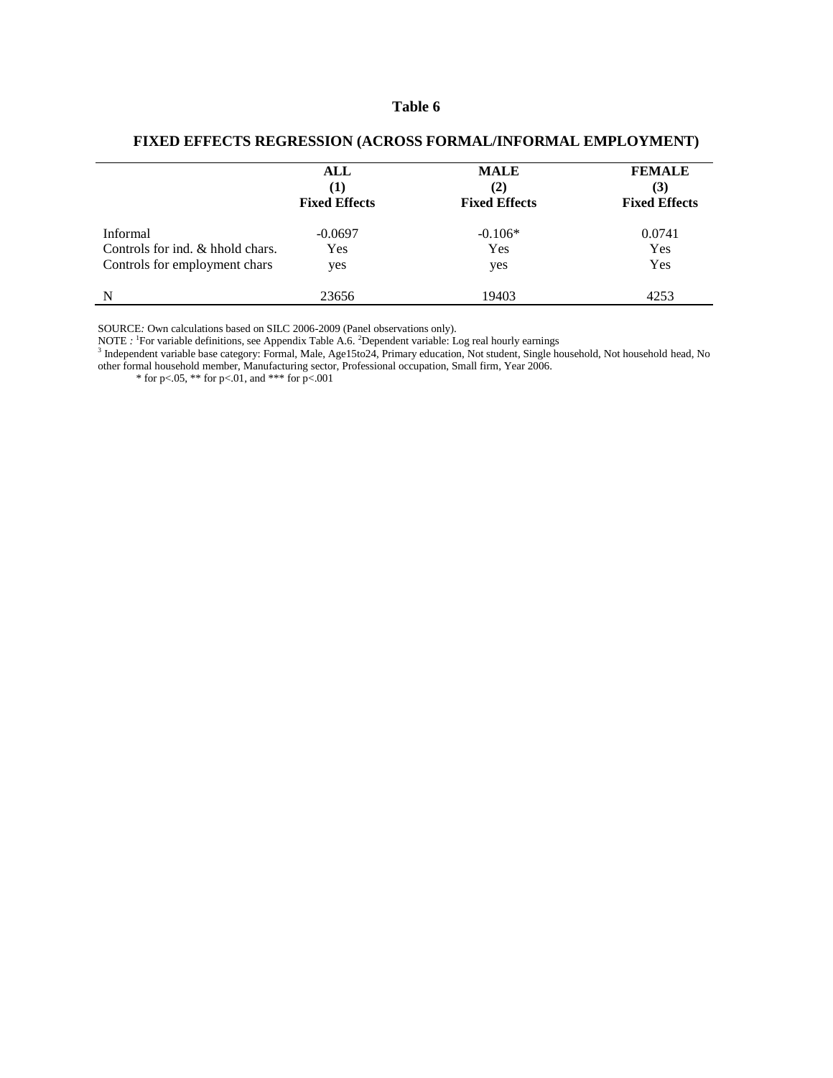|                                  | ALL<br>(1)<br><b>Fixed Effects</b> | <b>MALE</b><br>(2)<br><b>Fixed Effects</b> | <b>FEMALE</b><br>(3)<br><b>Fixed Effects</b> |
|----------------------------------|------------------------------------|--------------------------------------------|----------------------------------------------|
| Informal                         | $-0.0697$                          | $-0.106*$                                  | 0.0741                                       |
| Controls for ind. & hhold chars. | Yes                                | Yes                                        | Yes                                          |
| Controls for employment chars    | yes                                | yes                                        | Yes                                          |
| N                                | 23656                              | 19403                                      | 4253                                         |

#### **FIXED EFFECTS REGRESSION (ACROSS FORMAL/INFORMAL EMPLOYMENT)**

SOURCE*:* Own calculations based on SILC 2006-2009 (Panel observations only).

NOTE : <sup>1</sup>For variable definitions, see Appendix Table A.6. <sup>2</sup>Dependent variable: Log real hourly earnings<br><sup>3</sup> Independent variable base category: Formal, Male, Age15to24, Primary education, Not student, Single household, other formal household member, Manufacturing sector, Professional occupation, Small firm, Year 2006.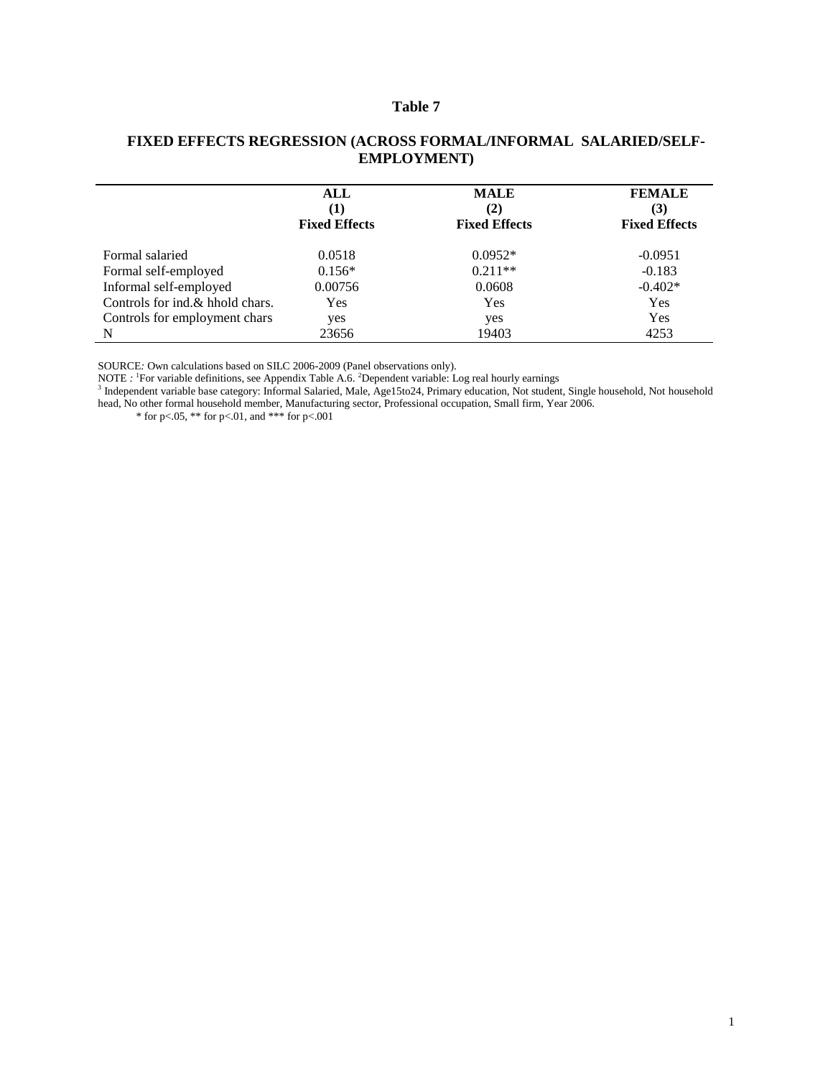|                                 | ALL<br>(1)<br><b>Fixed Effects</b> | <b>MALE</b><br>(2)<br><b>Fixed Effects</b> | <b>FEMALE</b><br>(3)<br><b>Fixed Effects</b> |
|---------------------------------|------------------------------------|--------------------------------------------|----------------------------------------------|
| Formal salaried                 | 0.0518                             | $0.0952*$                                  | $-0.0951$                                    |
| Formal self-employed            | $0.156*$                           | $0.211**$                                  | $-0.183$                                     |
| Informal self-employed          | 0.00756                            | 0.0608                                     | $-0.402*$                                    |
| Controls for ind.& hhold chars. | Yes                                | Yes                                        | Yes                                          |
| Controls for employment chars   | yes                                | yes                                        | Yes                                          |
| N                               | 23656                              | 19403                                      | 4253                                         |

#### **FIXED EFFECTS REGRESSION (ACROSS FORMAL/INFORMAL SALARIED/SELF-EMPLOYMENT)**

SOURCE*:* Own calculations based on SILC 2006-2009 (Panel observations only).

NOTE : <sup>1</sup>For variable definitions, see Appendix Table A.6. <sup>2</sup>Dependent variable: Log real hourly earnings<br><sup>3</sup> Independent variable base category: Informal Salaried, Male, Age15to24, Primary education, Not student, Single head, No other formal household member, Manufacturing sector, Professional occupation, Small firm, Year 2006.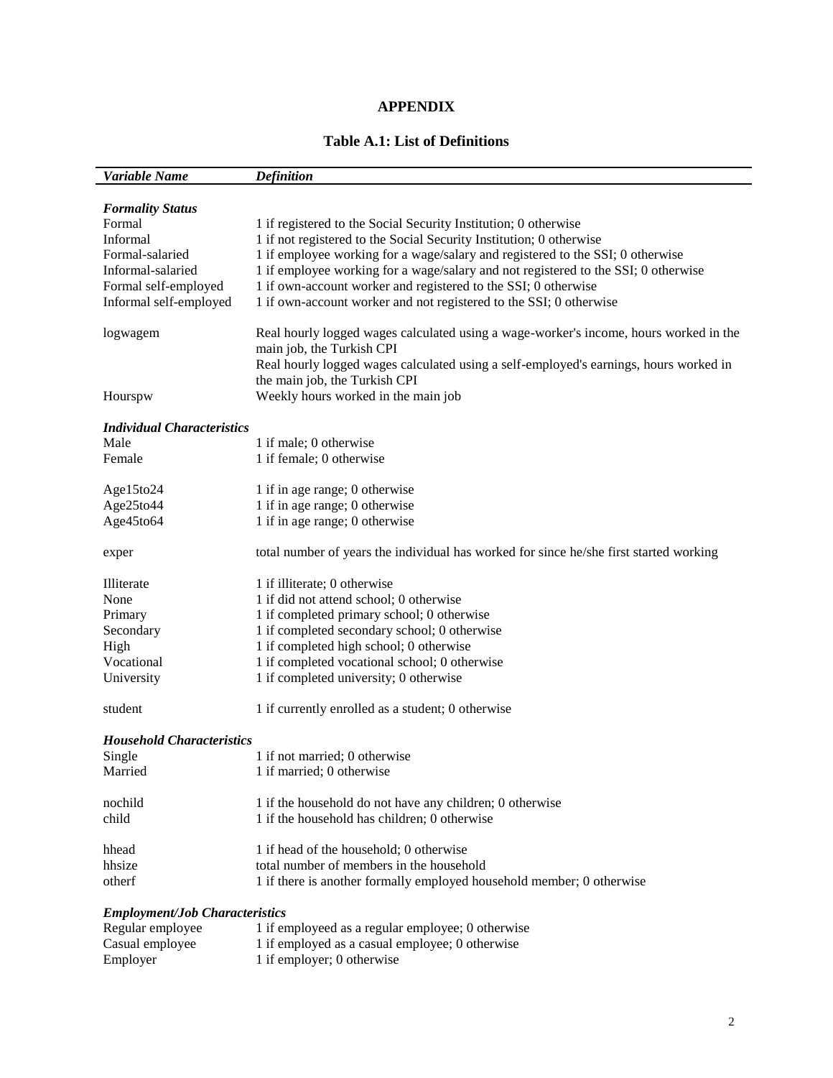## **APPENDIX**

## **Table A.1: List of Definitions**

| Variable Name                         | <b>Definition</b>                                                                                                  |
|---------------------------------------|--------------------------------------------------------------------------------------------------------------------|
|                                       |                                                                                                                    |
| <b>Formality Status</b>               |                                                                                                                    |
| Formal                                | 1 if registered to the Social Security Institution; 0 otherwise                                                    |
| Informal                              | 1 if not registered to the Social Security Institution; 0 otherwise                                                |
| Formal-salaried                       | 1 if employee working for a wage/salary and registered to the SSI; 0 otherwise                                     |
| Informal-salaried                     | 1 if employee working for a wage/salary and not registered to the SSI; 0 otherwise                                 |
| Formal self-employed                  | 1 if own-account worker and registered to the SSI; 0 otherwise                                                     |
| Informal self-employed                | 1 if own-account worker and not registered to the SSI; 0 otherwise                                                 |
| logwagem                              | Real hourly logged wages calculated using a wage-worker's income, hours worked in the<br>main job, the Turkish CPI |
|                                       | Real hourly logged wages calculated using a self-employed's earnings, hours worked in                              |
|                                       | the main job, the Turkish CPI                                                                                      |
| Hourspw                               | Weekly hours worked in the main job                                                                                |
| <b>Individual Characteristics</b>     |                                                                                                                    |
| Male                                  | 1 if male; 0 otherwise                                                                                             |
| Female                                | 1 if female; 0 otherwise                                                                                           |
| Age15to24                             | 1 if in age range; 0 otherwise                                                                                     |
| Age25to44                             | 1 if in age range; 0 otherwise                                                                                     |
| Age45to64                             | 1 if in age range; 0 otherwise                                                                                     |
| exper                                 | total number of years the individual has worked for since he/she first started working                             |
| Illiterate                            | 1 if illiterate; 0 otherwise                                                                                       |
| None                                  | 1 if did not attend school; 0 otherwise                                                                            |
| Primary                               | 1 if completed primary school; 0 otherwise                                                                         |
| Secondary                             | 1 if completed secondary school; 0 otherwise                                                                       |
| High                                  | 1 if completed high school; 0 otherwise                                                                            |
| Vocational                            | 1 if completed vocational school; 0 otherwise                                                                      |
| University                            | 1 if completed university; 0 otherwise                                                                             |
| student                               | 1 if currently enrolled as a student; 0 otherwise                                                                  |
| <b>Household Characteristics</b>      |                                                                                                                    |
| Single                                | 1 if not married; 0 otherwise                                                                                      |
| Married                               | 1 if married; 0 otherwise                                                                                          |
| nochild                               | 1 if the household do not have any children; 0 otherwise                                                           |
| child                                 | 1 if the household has children; 0 otherwise                                                                       |
|                                       |                                                                                                                    |
| hhead                                 | 1 if head of the household; 0 otherwise                                                                            |
| hhsize                                | total number of members in the household                                                                           |
| otherf                                | 1 if there is another formally employed household member; 0 otherwise                                              |
| <b>Employment/Job Characteristics</b> |                                                                                                                    |
| Regular employee                      | 1 if employeed as a regular employee; 0 otherwise                                                                  |
| Casual employee                       | 1 if employed as a casual employee; 0 otherwise                                                                    |

Employer 1 if employer; 0 otherwise